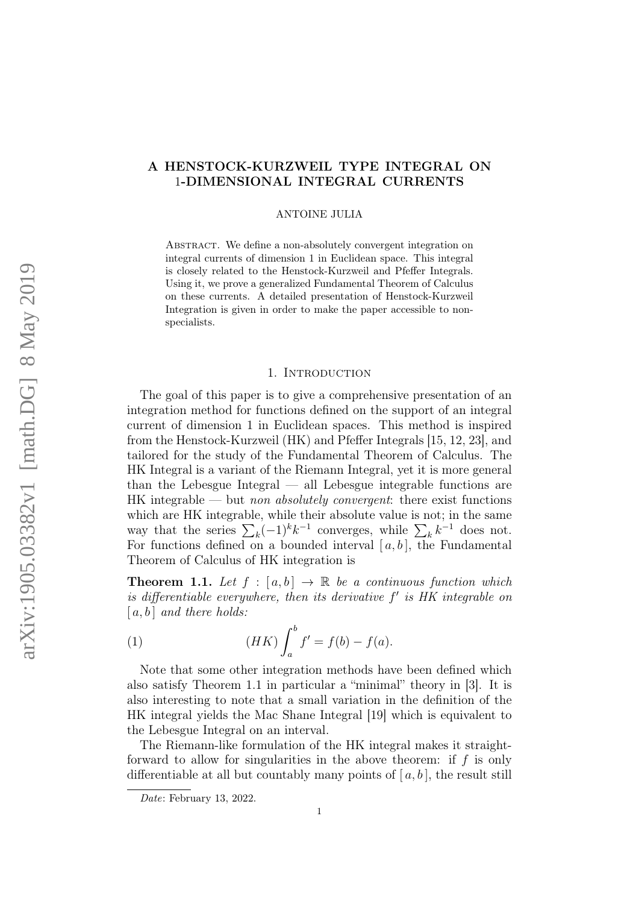# A HENSTOCK-KURZWEIL TYPE INTEGRAL ON 1-DIMENSIONAL INTEGRAL CURRENTS

ANTOINE JULIA

ABSTRACT. We define a non-absolutely convergent integration on integral currents of dimension 1 in Euclidean space. This integral is closely related to the Henstock-Kurzweil and Pfeffer Integrals. Using it, we prove a generalized Fundamental Theorem of Calculus on these currents. A detailed presentation of Henstock-Kurzweil Integration is given in order to make the paper accessible to nonspecialists.

#### 1. INTRODUCTION

The goal of this paper is to give a comprehensive presentation of an integration method for functions defined on the support of an integral current of dimension 1 in Euclidean spaces. This method is inspired from the Henstock-Kurzweil (HK) and Pfeffer Integrals [15, 12, 23], and tailored for the study of the Fundamental Theorem of Calculus. The HK Integral is a variant of the Riemann Integral, yet it is more general than the Lebesgue Integral — all Lebesgue integrable functions are  $HK$  integrable — but non absolutely convergent: there exist functions which are HK integrable, while their absolute value is not; in the same way that the series  $\sum_{k}(-1)^{k}k^{-1}$  converges, while  $\sum_{k}k^{-1}$  does not. For functions defined on a bounded interval  $[a, b]$ , the Fundamental Theorem of Calculus of HK integration is

**Theorem 1.1.** Let  $f : [a, b] \rightarrow \mathbb{R}$  be a continuous function which is differentiable everywhere, then its derivative  $f'$  is HK integrable on  $[a, b]$  and there holds:

(1) 
$$
(HK)\int_{a}^{b} f' = f(b) - f(a).
$$

Note that some other integration methods have been defined which also satisfy Theorem 1.1 in particular a "minimal" theory in [3]. It is also interesting to note that a small variation in the definition of the HK integral yields the Mac Shane Integral [19] which is equivalent to the Lebesgue Integral on an interval.

The Riemann-like formulation of the HK integral makes it straightforward to allow for singularities in the above theorem: if  $f$  is only differentiable at all but countably many points of  $[a, b]$ , the result still

Date: February 13, 2022.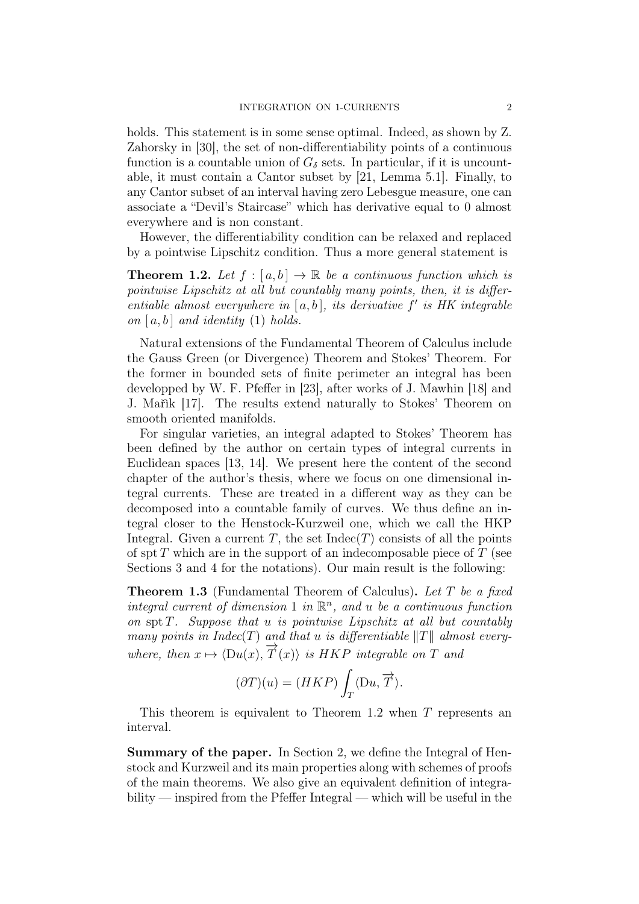holds. This statement is in some sense optimal. Indeed, as shown by Z. Zahorsky in [30], the set of non-differentiability points of a continuous function is a countable union of  $G_{\delta}$  sets. In particular, if it is uncountable, it must contain a Cantor subset by [21, Lemma 5.1]. Finally, to any Cantor subset of an interval having zero Lebesgue measure, one can associate a "Devil's Staircase" which has derivative equal to 0 almost everywhere and is non constant.

However, the differentiability condition can be relaxed and replaced by a pointwise Lipschitz condition. Thus a more general statement is

**Theorem 1.2.** Let  $f : [a, b] \to \mathbb{R}$  be a continuous function which is pointwise Lipschitz at all but countably many points, then, it is differentiable almost everywhere in  $[a, b]$ , its derivative  $f'$  is HK integrable on  $[a, b]$  and identity (1) holds.

Natural extensions of the Fundamental Theorem of Calculus include the Gauss Green (or Divergence) Theorem and Stokes' Theorem. For the former in bounded sets of finite perimeter an integral has been developped by W. F. Pfeffer in [23], after works of J. Mawhin [18] and J. Mařìk [17]. The results extend naturally to Stokes' Theorem on smooth oriented manifolds.

For singular varieties, an integral adapted to Stokes' Theorem has been defined by the author on certain types of integral currents in Euclidean spaces [13, 14]. We present here the content of the second chapter of the author's thesis, where we focus on one dimensional integral currents. These are treated in a different way as they can be decomposed into a countable family of curves. We thus define an integral closer to the Henstock-Kurzweil one, which we call the HKP Integral. Given a current T, the set  $\text{Indec}(T)$  consists of all the points of spt  $T$  which are in the support of an indecomposable piece of  $T$  (see Sections 3 and 4 for the notations). Our main result is the following:

Theorem 1.3 (Fundamental Theorem of Calculus). Let T be a fixed integral current of dimension 1 in  $\mathbb{R}^n$ , and u be a continuous function on spt  $T$ . Suppose that u is pointwise Lipschitz at all but countably many points in Indec(T) and that u is differentiable  $||T||$  almost everywhere, then  $x \mapsto \langle Du(x), \overrightarrow{T}(x) \rangle$  is HKP integrable on T and

$$
(\partial T)(u) = (HKP) \int_T \langle Du, \overrightarrow{T} \rangle.
$$

This theorem is equivalent to Theorem 1.2 when T represents an interval.

Summary of the paper. In Section 2, we define the Integral of Henstock and Kurzweil and its main properties along with schemes of proofs of the main theorems. We also give an equivalent definition of integrability — inspired from the Pfeffer Integral — which will be useful in the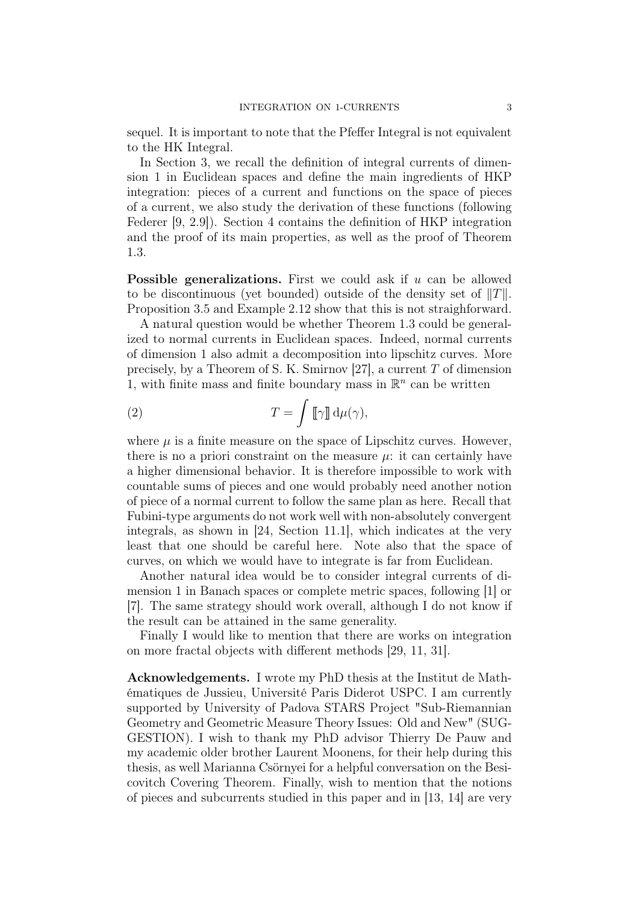sequel. It is important to note that the Pfeffer Integral is not equivalent to the HK Integral.

In Section 3, we recall the definition of integral currents of dimension 1 in Euclidean spaces and define the main ingredients of HKP integration: pieces of a current and functions on the space of pieces of a current, we also study the derivation of these functions (following Federer [9, 2.9]). Section 4 contains the definition of HKP integration and the proof of its main properties, as well as the proof of Theorem 1.3.

**Possible generalizations.** First we could ask if  $u$  can be allowed to be discontinuous (yet bounded) outside of the density set of  $||T||$ . Proposition 3.5 and Example 2.12 show that this is not straighforward.

A natural question would be whether Theorem 1.3 could be generalized to normal currents in Euclidean spaces. Indeed, normal currents of dimension 1 also admit a decomposition into lipschitz curves. More precisely, by a Theorem of S. K. Smirnov [27], a current T of dimension 1, with finite mass and finite boundary mass in  $\mathbb{R}^n$  can be written

(2) 
$$
T = \int [\![\gamma]\!] \, d\mu(\gamma),
$$

where  $\mu$  is a finite measure on the space of Lipschitz curves. However, there is no a priori constraint on the measure  $\mu$ : it can certainly have a higher dimensional behavior. It is therefore impossible to work with countable sums of pieces and one would probably need another notion of piece of a normal current to follow the same plan as here. Recall that Fubini-type arguments do not work well with non-absolutely convergent integrals, as shown in [24, Section 11.1], which indicates at the very least that one should be careful here. Note also that the space of curves, on which we would have to integrate is far from Euclidean.

Another natural idea would be to consider integral currents of dimension 1 in Banach spaces or complete metric spaces, following [1] or [7]. The same strategy should work overall, although I do not know if the result can be attained in the same generality.

Finally I would like to mention that there are works on integration on more fractal objects with different methods [29, 11, 31].

Acknowledgements. I wrote my PhD thesis at the Institut de Mathématiques de Jussieu, Université Paris Diderot USPC. I am currently supported by University of Padova STARS Project "Sub-Riemannian Geometry and Geometric Measure Theory Issues: Old and New" (SUG-GESTION). I wish to thank my PhD advisor Thierry De Pauw and my academic older brother Laurent Moonens, for their help during this thesis, as well Marianna Csörnyei for a helpful conversation on the Besicovitch Covering Theorem. Finally, wish to mention that the notions of pieces and subcurrents studied in this paper and in [13, 14] are very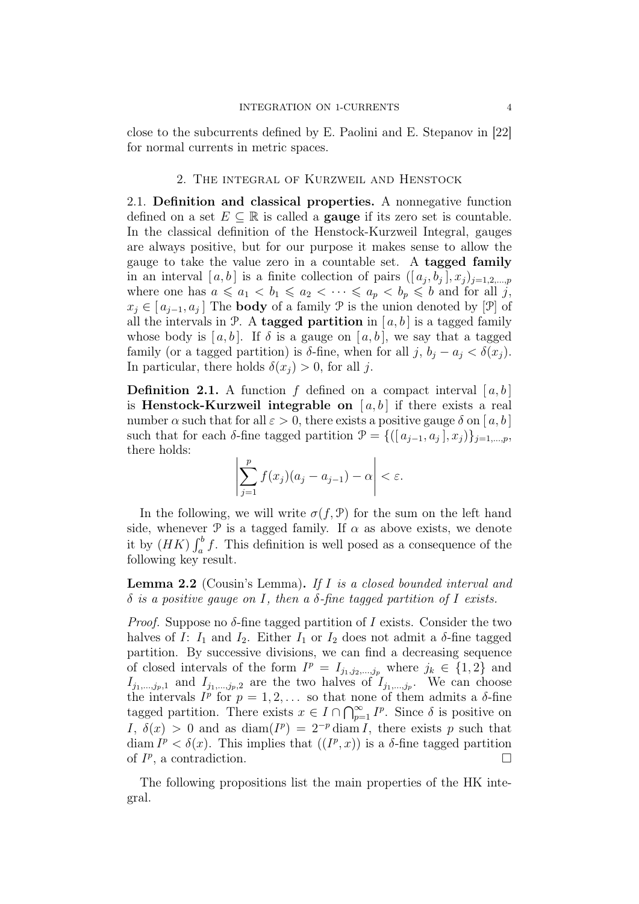close to the subcurrents defined by E. Paolini and E. Stepanov in [22] for normal currents in metric spaces.

#### 2. The integral of Kurzweil and Henstock

2.1. Definition and classical properties. A nonnegative function defined on a set  $E \subseteq \mathbb{R}$  is called a **gauge** if its zero set is countable. In the classical definition of the Henstock-Kurzweil Integral, gauges are always positive, but for our purpose it makes sense to allow the gauge to take the value zero in a countable set. A tagged family in an interval  $[a, b]$  is a finite collection of pairs  $([a_j, b_j], x_j)_{j=1,2,\dots,p}$ where one has  $a \leq a_1 < b_1 \leq a_2 < \cdots \leq a_p < b_p \leq b$  and for all j,  $x_j \in [a_{j-1}, a_j]$  The **body** of a family  $\mathcal{P}$  is the union denoted by [ $\mathcal{P}$ ] of all the intervals in P. A tagged partition in  $[a, b]$  is a tagged family whose body is [a, b]. If  $\delta$  is a gauge on [a, b], we say that a tagged family (or a tagged partition) is  $\delta$ -fine, when for all j,  $b_i - a_j < \delta(x_i)$ . In particular, there holds  $\delta(x_i) > 0$ , for all j.

**Definition 2.1.** A function f defined on a compact interval  $[a, b]$ is **Henstock-Kurzweil integrable on** [ $a, b$ ] if there exists a real number  $\alpha$  such that for all  $\varepsilon > 0$ , there exists a positive gauge  $\delta$  on [a, b] such that for each  $\delta$ -fine tagged partition  $\mathcal{P} = \{([a_{j-1}, a_j], x_j)\}_{j=1,\dots,p}$ , there holds:

$$
\left|\sum_{j=1}^p f(x_j)(a_j - a_{j-1}) - \alpha\right| < \varepsilon.
$$

In the following, we will write  $\sigma(f, \mathcal{P})$  for the sum on the left hand side, whenever  $\mathcal P$  is a tagged family. If  $\alpha$  as above exists, we denote it by  $(HK) \int_a^b f$ . This definition is well posed as a consequence of the following key result.

Lemma 2.2 (Cousin's Lemma). If I is a closed bounded interval and  $\delta$  is a positive gauge on I, then a  $\delta$ -fine tagged partition of I exists.

*Proof.* Suppose no  $\delta$ -fine tagged partition of I exists. Consider the two halves of I:  $I_1$  and  $I_2$ . Either  $I_1$  or  $I_2$  does not admit a  $\delta$ -fine tagged partition. By successive divisions, we can find a decreasing sequence of closed intervals of the form  $I^p = I_{j_1, j_2, \dots, j_p}$  where  $j_k \in \{1, 2\}$  and  $I_{j_1,\dots,j_p,1}$  and  $I_{j_1,\dots,j_p,2}$  are the two halves of  $I_{j_1,\dots,j_p}$ . We can choose the intervals  $I^p$  for  $p = 1, 2, \ldots$  so that none of them admits a  $\delta$ -fine tagged partition. There exists  $x \in I \cap \bigcap_{p=1}^{\infty} I^p$ . Since  $\delta$  is positive on I,  $\delta(x) > 0$  and as  $\text{diam}(I^p) = 2^{-p} \text{diam} I$ , there exists p such that diam  $I^p < \delta(x)$ . This implies that  $(I^p, x)$  is a  $\delta$ -fine tagged partition of  $I^p$ , a contradiction.

The following propositions list the main properties of the HK integral.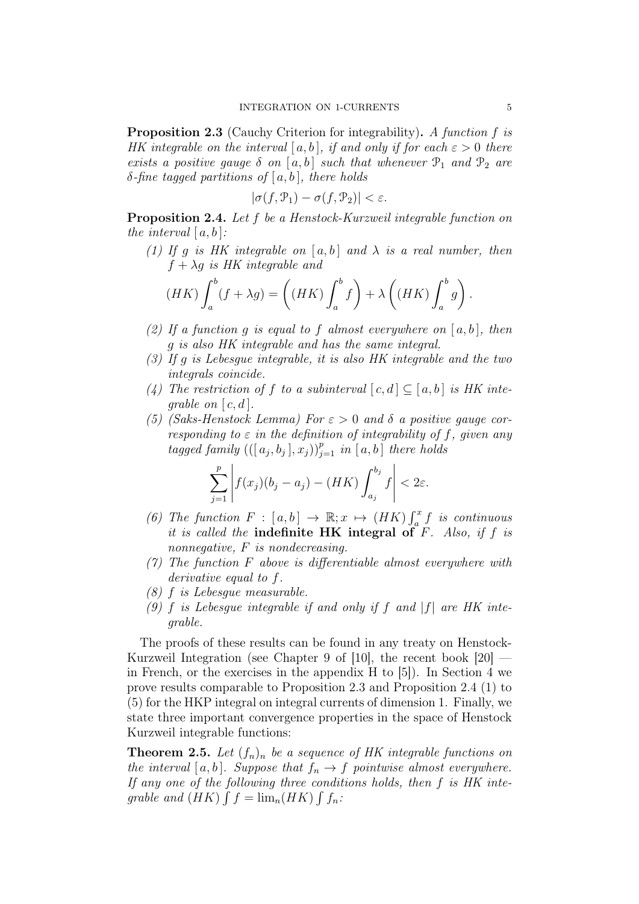**Proposition 2.3** (Cauchy Criterion for integrability). A function f is HK integrable on the interval  $[a, b]$ , if and only if for each  $\varepsilon > 0$  there exists a positive gauge  $\delta$  on [a,b] such that whenever  $\mathcal{P}_1$  and  $\mathcal{P}_2$  are δ-fine tagged partitions of [a, b], there holds

$$
|\sigma(f, \mathcal{P}_1) - \sigma(f, \mathcal{P}_2)| < \varepsilon.
$$

Proposition 2.4. Let f be a Henstock-Kurzweil integrable function on the interval  $[a, b]$ :

(1) If g is HK integrable on  $[a, b]$  and  $\lambda$  is a real number, then  $f + \lambda g$  is HK integrable and

$$
(HK)\int_{a}^{b}(f+\lambda g)=\left((HK)\int_{a}^{b}f\right)+\lambda\left((HK)\int_{a}^{b}g\right).
$$

- (2) If a function q is equal to f almost everywhere on  $[a, b]$ , then g is also HK integrable and has the same integral.
- (3) If g is Lebesgue integrable, it is also HK integrable and the two integrals coincide.
- (4) The restriction of f to a subinterval  $[c, d] \subseteq [a, b]$  is HK inteqrable on  $[c, d]$ .
- (5) (Saks-Henstock Lemma) For  $\varepsilon > 0$  and  $\delta$  a positive gauge corresponding to  $\varepsilon$  in the definition of integrability of f, given any tagged family  $((a_j, b_j], x_j))_{j=1}^p$  in  $[a, b]$  there holds

$$
\sum_{j=1}^p \left| f(x_j)(b_j - a_j) - (HK) \int_{a_j}^{b_j} f \right| < 2\varepsilon.
$$

- (6) The function  $F : [a, b] \to \mathbb{R}; x \mapsto (HK) \int_a^x f$  is continuous it is called the indefinite HK integral of  $F$ . Also, if  $f$  is nonnegative, F is nondecreasing.
- $(7)$  The function F above is differentiable almost everywhere with derivative equal to f.
- (8) f is Lebesgue measurable.
- (9) f is Lebesgue integrable if and only if f and  $|f|$  are HK integrable.

The proofs of these results can be found in any treaty on Henstock-Kurzweil Integration (see Chapter 9 of [10], the recent book [20] in French, or the exercises in the appendix H to [5]). In Section 4 we prove results comparable to Proposition 2.3 and Proposition 2.4 (1) to (5) for the HKP integral on integral currents of dimension 1. Finally, we state three important convergence properties in the space of Henstock Kurzweil integrable functions:

**Theorem 2.5.** Let  $(f_n)_n$  be a sequence of HK integrable functions on the interval [a, b]. Suppose that  $f_n \to f$  pointwise almost everywhere. If any one of the following three conditions holds, then  $f$  is  $HK$  integrable and  $(HK) \int f = \lim_n (HK) \int f_n$ :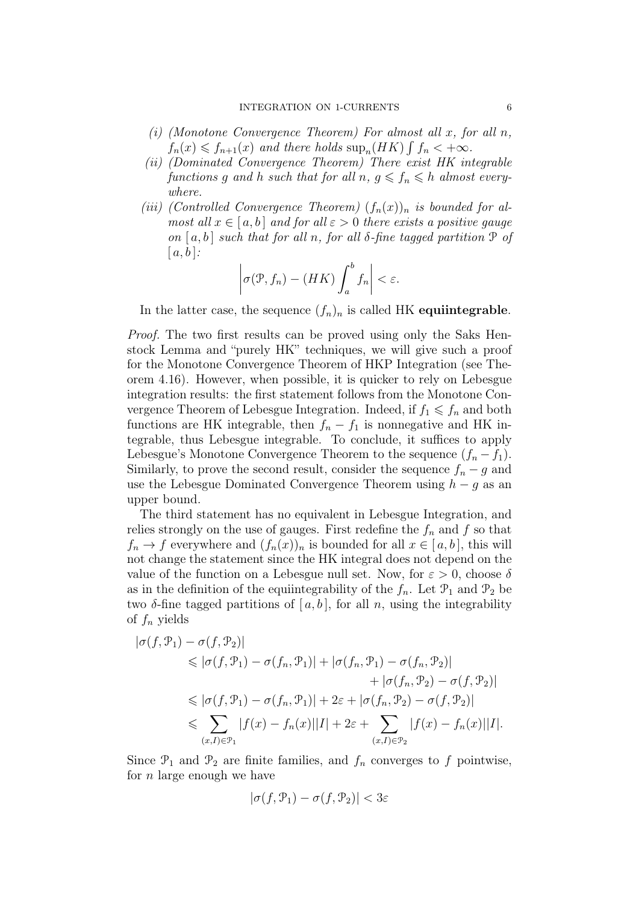- (i) (Monotone Convergence Theorem) For almost all  $x$ , for all  $n$ ,  $f_n(x) \leqslant f_{n+1}(x)$  and there holds  $\sup_n(HK) \int f_n < +\infty$ .
- (ii) (Dominated Convergence Theorem) There exist HK integrable functions g and h such that for all  $n, g \leq f_n \leq h$  almost everywhere.
- (iii) (Controlled Convergence Theorem)  $(f_n(x))_n$  is bounded for almost all  $x \in [a, b]$  and for all  $\varepsilon > 0$  there exists a positive gauge on  $[a, b]$  such that for all n, for all  $\delta$ -fine tagged partition  $\mathcal P$  of  $[a, b]$ :

$$
\left|\sigma(\mathcal{P}, f_n) - (HK)\int_a^b f_n\right| < \varepsilon.
$$

In the latter case, the sequence  $(f_n)_n$  is called HK equiintegrable.

Proof. The two first results can be proved using only the Saks Henstock Lemma and "purely HK" techniques, we will give such a proof for the Monotone Convergence Theorem of HKP Integration (see Theorem 4.16). However, when possible, it is quicker to rely on Lebesgue integration results: the first statement follows from the Monotone Convergence Theorem of Lebesgue Integration. Indeed, if  $f_1 \leq f_n$  and both functions are HK integrable, then  $f_n - f_1$  is nonnegative and HK integrable, thus Lebesgue integrable. To conclude, it suffices to apply Lebesgue's Monotone Convergence Theorem to the sequence  $(f_n - f_1)$ . Similarly, to prove the second result, consider the sequence  $f_n - g$  and use the Lebesgue Dominated Convergence Theorem using  $h - g$  as an upper bound.

The third statement has no equivalent in Lebesgue Integration, and relies strongly on the use of gauges. First redefine the  $f_n$  and  $f$  so that  $f_n \to f$  everywhere and  $(f_n(x))_n$  is bounded for all  $x \in [a, b]$ , this will not change the statement since the HK integral does not depend on the value of the function on a Lebesgue null set. Now, for  $\varepsilon > 0$ , choose  $\delta$ as in the definition of the equiintegrability of the  $f_n$ . Let  $\mathcal{P}_1$  and  $\mathcal{P}_2$  be two  $\delta$ -fine tagged partitions of [a, b], for all n, using the integrability of  $f_n$  yields

$$
|\sigma(f, \mathcal{P}_1) - \sigma(f, \mathcal{P}_2)|
$$
  
\n
$$
\leq |\sigma(f, \mathcal{P}_1) - \sigma(f_n, \mathcal{P}_1)| + |\sigma(f_n, \mathcal{P}_1) - \sigma(f_n, \mathcal{P}_2)|
$$
  
\n
$$
+ |\sigma(f_n, \mathcal{P}_2) - \sigma(f, \mathcal{P}_2)|
$$
  
\n
$$
\leq |\sigma(f, \mathcal{P}_1) - \sigma(f_n, \mathcal{P}_1)| + 2\varepsilon + |\sigma(f_n, \mathcal{P}_2) - \sigma(f, \mathcal{P}_2)|
$$
  
\n
$$
\leq \sum_{(x, I) \in \mathcal{P}_1} |f(x) - f_n(x)||I| + 2\varepsilon + \sum_{(x, I) \in \mathcal{P}_2} |f(x) - f_n(x)||I|.
$$

Since  $\mathcal{P}_1$  and  $\mathcal{P}_2$  are finite families, and  $f_n$  converges to f pointwise, for  $n$  large enough we have

$$
|\sigma(f, \mathcal{P}_1) - \sigma(f, \mathcal{P}_2)| < 3\varepsilon
$$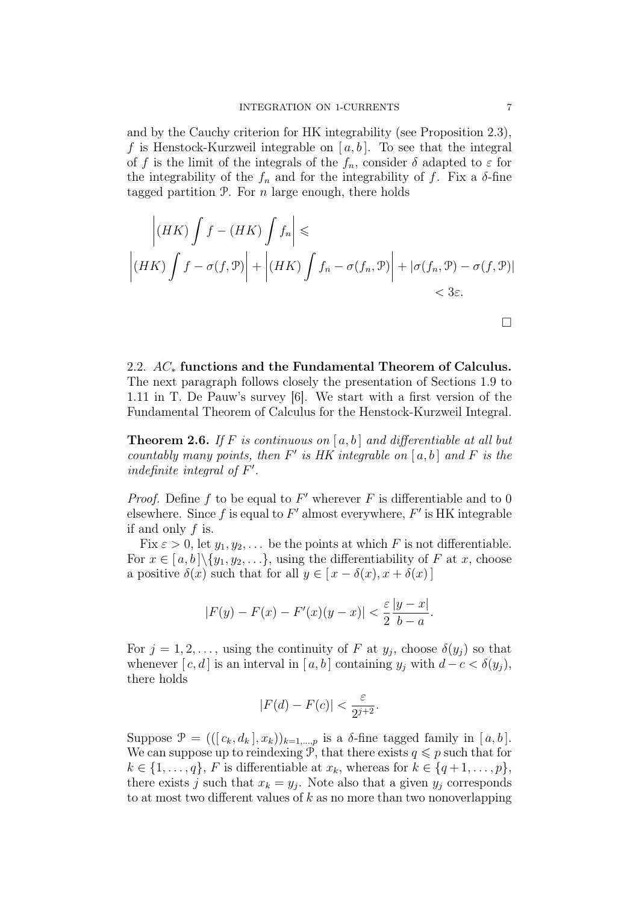and by the Cauchy criterion for HK integrability (see Proposition 2.3), f is Henstock-Kurzweil integrable on  $[a, b]$ . To see that the integral of f is the limit of the integrals of the  $f_n$ , consider  $\delta$  adapted to  $\varepsilon$  for the integrability of the  $f_n$  and for the integrability of f. Fix a  $\delta$ -fine tagged partition  $P$ . For *n* large enough, there holds

$$
\left| (HK) \int f - (HK) \int f_n \right| \le
$$
  

$$
\left| (HK) \int f - \sigma(f, \mathcal{P}) \right| + \left| (HK) \int f_n - \sigma(f_n, \mathcal{P}) \right| + |\sigma(f_n, \mathcal{P}) - \sigma(f, \mathcal{P})|
$$
  
<3\varepsilon.

2.2. AC<sup>∗</sup> functions and the Fundamental Theorem of Calculus. The next paragraph follows closely the presentation of Sections 1.9 to 1.11 in T. De Pauw's survey [6]. We start with a first version of the Fundamental Theorem of Calculus for the Henstock-Kurzweil Integral.

**Theorem 2.6.** If F is continuous on  $[a, b]$  and differentiable at all but countably many points, then  $F'$  is HK integrable on  $[a, b]$  and  $F$  is the indefinite integral of  $F'$ .

*Proof.* Define f to be equal to  $F'$  wherever F is differentiable and to 0 elsewhere. Since f is equal to  $F'$  almost everywhere,  $F'$  is HK integrable if and only  $f$  is.

Fix  $\varepsilon > 0$ , let  $y_1, y_2, \ldots$  be the points at which F is not differentiable. For  $x \in [a, b] \setminus \{y_1, y_2, \ldots\}$ , using the differentiability of F at x, choose a positive  $\delta(x)$  such that for all  $y \in [x - \delta(x), x + \delta(x)]$ 

$$
|F(y) - F(x) - F'(x)(y - x)| < \frac{\varepsilon}{2} \frac{|y - x|}{b - a}.
$$

For  $j = 1, 2, \ldots$ , using the continuity of F at  $y_j$ , choose  $\delta(y_j)$  so that whenever [c, d] is an interval in [a, b] containing  $y_i$  with  $d-c < \delta(y_i)$ , there holds

$$
|F(d) - F(c)| < \frac{\varepsilon}{2^{j+2}}.
$$

Suppose  $\mathcal{P} = (([c_k, d_k], x_k))_{k=1,\dots,p}$  is a  $\delta$ -fine tagged family in  $[a, b]$ . We can suppose up to reindexing P, that there exists  $q \leq p$  such that for  $k \in \{1, \ldots, q\}, F$  is differentiable at  $x_k$ , whereas for  $k \in \{q+1, \ldots, p\},$ there exists j such that  $x_k = y_j$ . Note also that a given  $y_j$  corresponds to at most two different values of  $k$  as no more than two nonoverlapping

 $\Box$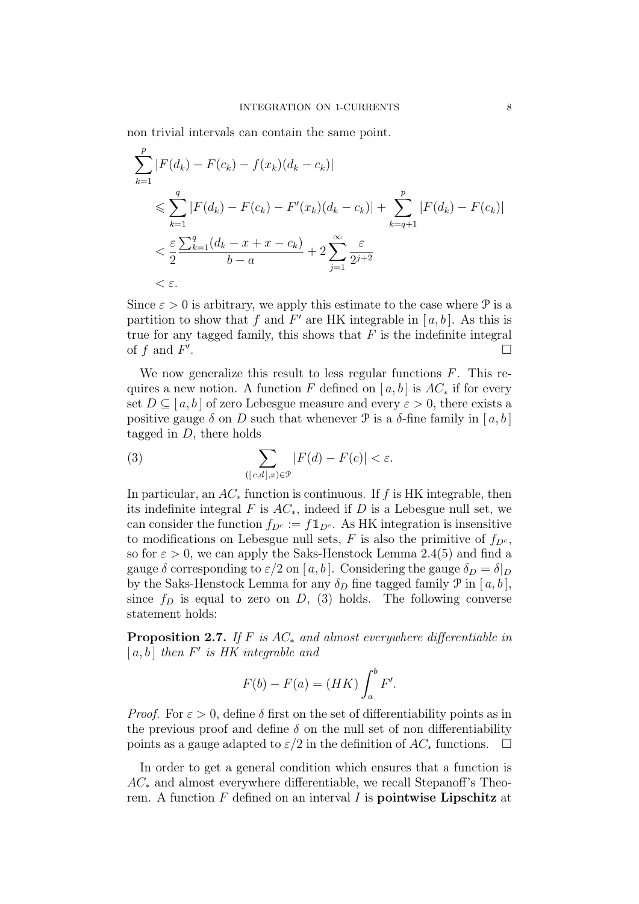non trivial intervals can contain the same point.

$$
\sum_{k=1}^{p} |F(d_k) - F(c_k) - f(x_k)(d_k - c_k)|
$$
\n
$$
\leq \sum_{k=1}^{q} |F(d_k) - F(c_k) - F'(x_k)(d_k - c_k)| + \sum_{k=q+1}^{p} |F(d_k) - F(c_k)|
$$
\n
$$
< \frac{\varepsilon}{2} \frac{\sum_{k=1}^{q} (d_k - x + x - c_k)}{b - a} + 2 \sum_{j=1}^{\infty} \frac{\varepsilon}{2^{j+2}}
$$
\n
$$
< \varepsilon.
$$

Since  $\varepsilon > 0$  is arbitrary, we apply this estimate to the case where  $\mathcal{P}$  is a partition to show that f and  $F'$  are HK integrable in [a, b]. As this is true for any tagged family, this shows that  $F$  is the indefinite integral of  $f$  and  $F'$ .

We now generalize this result to less regular functions  $F$ . This requires a new notion. A function F defined on [ $a, b$ ] is  $AC_*$  if for every set  $D \subseteq [a, b]$  of zero Lebesgue measure and every  $\varepsilon > 0$ , there exists a positive gauge  $\delta$  on D such that whenever  $\mathcal P$  is a  $\delta$ -fine family in [a, b] tagged in  $D$ , there holds

(3) 
$$
\sum_{([c,d],x)\in\mathcal{P}}|F(d)-F(c)|<\varepsilon.
$$

In particular, an  $AC_*$  function is continuous. If f is HK integrable, then its indefinite integral F is  $AC_*$ , indeed if D is a Lebesgue null set, we can consider the function  $f_{D^c} := f \mathbb{1}_{D^c}$ . As HK integration is insensitive to modifications on Lebesgue null sets, F is also the primitive of  $f_{D^c}$ , so for  $\varepsilon > 0$ , we can apply the Saks-Henstock Lemma 2.4(5) and find a gauge  $\delta$  corresponding to  $\varepsilon/2$  on [a, b]. Considering the gauge  $\delta_D = \delta|_D$ by the Saks-Henstock Lemma for any  $\delta_D$  fine tagged family  $\mathcal P$  in  $[a, b]$ , since  $f_D$  is equal to zero on D, (3) holds. The following converse statement holds:

**Proposition 2.7.** If F is  $AC_*$  and almost everywhere differentiable in  $[a, b]$  then  $F'$  is HK integrable and

$$
F(b) - F(a) = (HK) \int_a^b F'.
$$

*Proof.* For  $\varepsilon > 0$ , define  $\delta$  first on the set of differentiability points as in the previous proof and define  $\delta$  on the null set of non differentiability points as a gauge adapted to  $\varepsilon/2$  in the definition of  $AC_*$  functions.  $\Box$ 

In order to get a general condition which ensures that a function is  $AC_*$  and almost everywhere differentiable, we recall Stepanoff's Theorem. A function  $F$  defined on an interval  $I$  is **pointwise Lipschitz** at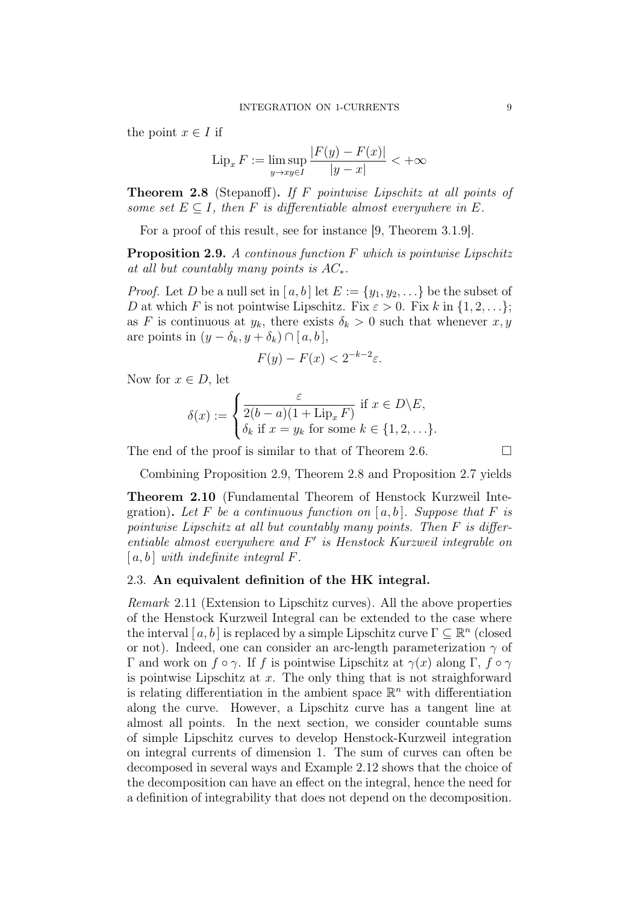the point  $x \in I$  if

$$
\operatorname{Lip}_x F := \limsup_{y \to xy \in I} \frac{|F(y) - F(x)|}{|y - x|} < +\infty
$$

Theorem 2.8 (Stepanoff). If F pointwise Lipschitz at all points of some set  $E \subseteq I$ , then F is differentiable almost everywhere in E.

For a proof of this result, see for instance [9, Theorem 3.1.9].

Proposition 2.9. A continous function F which is pointwise Lipschitz at all but countably many points is  $AC_*$ .

*Proof.* Let D be a null set in [a, b] let  $E := \{y_1, y_2, \ldots\}$  be the subset of D at which F is not pointwise Lipschitz. Fix  $\varepsilon > 0$ . Fix k in  $\{1, 2, \ldots\}$ ; as F is continuous at  $y_k$ , there exists  $\delta_k > 0$  such that whenever  $x, y$ are points in  $(y - \delta_k, y + \delta_k) \cap [a, b],$ 

$$
F(y) - F(x) < 2^{-k-2}\varepsilon.
$$

Now for  $x \in D$ , let

$$
\delta(x) := \begin{cases} \frac{\varepsilon}{2(b-a)(1+\text{Lip}_x F)} & \text{if } x \in D \backslash E, \\ \delta_k & \text{if } x = y_k \text{ for some } k \in \{1, 2, \ldots\}. \end{cases}
$$

The end of the proof is similar to that of Theorem 2.6.  $\Box$ 

Combining Proposition 2.9, Theorem 2.8 and Proposition 2.7 yields

Theorem 2.10 (Fundamental Theorem of Henstock Kurzweil Integration). Let F be a continuous function on  $[a, b]$ . Suppose that F is pointwise Lipschitz at all but countably many points. Then F is differentiable almost everywhere and  $F'$  is Henstock Kurzweil integrable on  $[a, b]$  with indefinite integral F.

### 2.3. An equivalent definition of the HK integral.

Remark 2.11 (Extension to Lipschitz curves). All the above properties of the Henstock Kurzweil Integral can be extended to the case where the interval  $[a, b]$  is replaced by a simple Lipschitz curve  $\Gamma \subseteq \mathbb{R}^n$  (closed or not). Indeed, one can consider an arc-length parameterization  $\gamma$  of Γ and work on  $f \circ \gamma$ . If f is pointwise Lipschitz at  $\gamma(x)$  along Γ,  $f \circ \gamma$ is pointwise Lipschitz at  $x$ . The only thing that is not straighforward is relating differentiation in the ambient space  $\mathbb{R}^n$  with differentiation along the curve. However, a Lipschitz curve has a tangent line at almost all points. In the next section, we consider countable sums of simple Lipschitz curves to develop Henstock-Kurzweil integration on integral currents of dimension 1. The sum of curves can often be decomposed in several ways and Example 2.12 shows that the choice of the decomposition can have an effect on the integral, hence the need for a definition of integrability that does not depend on the decomposition.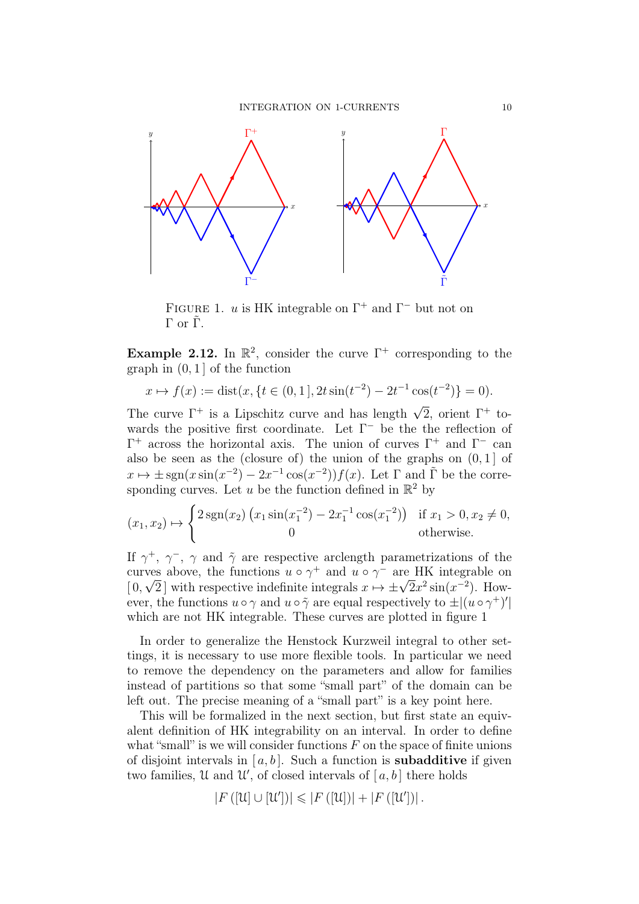

FIGURE 1. *u* is HK integrable on  $\Gamma^+$  and  $\Gamma^-$  but not on  $Γ$  or  $\tilde{Γ}$ .

Example 2.12. In  $\mathbb{R}^2$ , consider the curve  $\Gamma^+$  corresponding to the graph in  $(0, 1]$  of the function

$$
x \mapsto f(x) := \text{dist}(x, \{t \in (0, 1], 2t \sin(t^{-2}) - 2t^{-1} \cos(t^{-2})\} = 0).
$$

The curve  $\Gamma^+$  is a Lipschitz curve and has length  $\sqrt{2}$ , orient  $\Gamma^+$  towards the positive first coordinate. Let  $\Gamma^-$  be the reflection of  $\Gamma^+$  across the horizontal axis. The union of curves  $\Gamma^+$  and  $\Gamma^-$  can also be seen as the (closure of) the union of the graphs on  $(0, 1]$  of  $x \mapsto \pm \operatorname{sgn}(x \sin(x^{-2}) - 2x^{-1} \cos(x^{-2})) f(x)$ . Let  $\Gamma$  and  $\tilde{\Gamma}$  be the corresponding curves. Let u be the function defined in  $\mathbb{R}^2$  by

$$
(x_1, x_2) \mapsto \begin{cases} 2 \operatorname{sgn}(x_2) (x_1 \sin(x_1^{-2}) - 2x_1^{-1} \cos(x_1^{-2})) & \text{if } x_1 > 0, x_2 \neq 0, \\ 0 & \text{otherwise.} \end{cases}
$$

If  $\gamma^+$ ,  $\gamma^-$ ,  $\gamma$  and  $\tilde{\gamma}$  are respective arclength parametrizations of the curves above, the functions  $u \circ \gamma^+$  and  $u \circ \gamma^-$  are HK integrable on  $[0, \sqrt{2}]$  with respective indefinite integrals  $x \mapsto \pm \sqrt{2}x^2 \sin(x^{-2})$ . However, the functions  $u \circ \gamma$  and  $u \circ \tilde{\gamma}$  are equal respectively to  $\pm |(u \circ \gamma^+)'|$ which are not HK integrable. These curves are plotted in figure 1

In order to generalize the Henstock Kurzweil integral to other settings, it is necessary to use more flexible tools. In particular we need to remove the dependency on the parameters and allow for families instead of partitions so that some "small part" of the domain can be left out. The precise meaning of a "small part" is a key point here.

This will be formalized in the next section, but first state an equivalent definition of HK integrability on an interval. In order to define what "small" is we will consider functions  $F$  on the space of finite unions of disjoint intervals in  $[a, b]$ . Such a function is **subadditive** if given two families, U and U', of closed intervals of  $[a, b]$  there holds

$$
\left|F\left([\mathcal{U}]\cup[\mathcal{U}']\right)\right|\leqslant\left|F\left([\mathcal{U}]\right)\right|+\left|F\left([\mathcal{U}']\right)\right|.
$$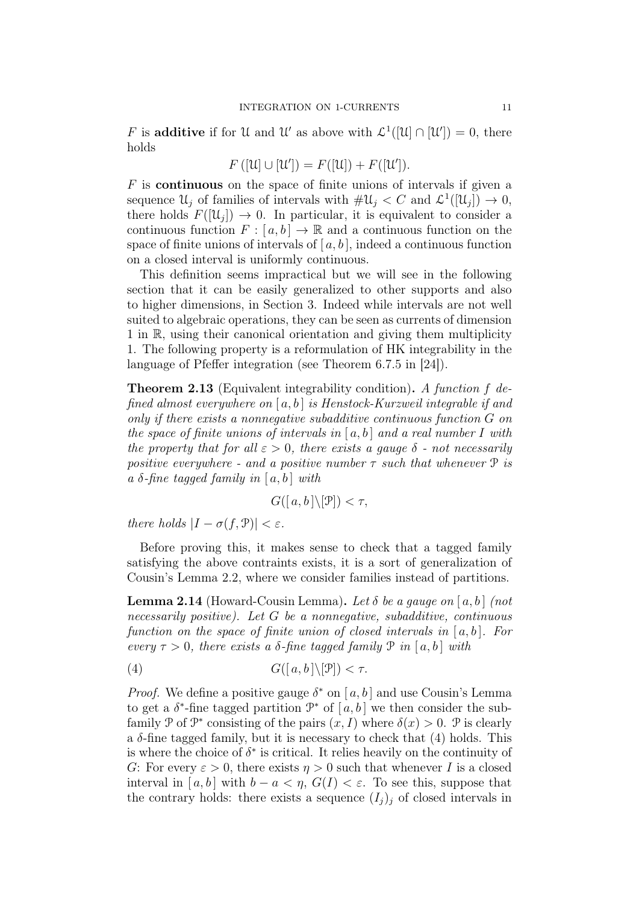F is **additive** if for U and U' as above with  $\mathcal{L}^1([U] \cap [U']) = 0$ , there holds

$$
F([u] \cup [u']) = F([u]) + F([u']).
$$

 $F$  is **continuous** on the space of finite unions of intervals if given a sequence  $\mathcal{U}_j$  of families of intervals with  $\#\mathcal{U}_j < C$  and  $\mathcal{L}^1([\mathcal{U}_j]) \to 0$ , there holds  $F([\mathcal{U}_j]) \to 0$ . In particular, it is equivalent to consider a continuous function  $F : [a, b] \to \mathbb{R}$  and a continuous function on the space of finite unions of intervals of  $[a, b]$ , indeed a continuous function on a closed interval is uniformly continuous.

This definition seems impractical but we will see in the following section that it can be easily generalized to other supports and also to higher dimensions, in Section 3. Indeed while intervals are not well suited to algebraic operations, they can be seen as currents of dimension 1 in R, using their canonical orientation and giving them multiplicity 1. The following property is a reformulation of HK integrability in the language of Pfeffer integration (see Theorem 6.7.5 in [24]).

**Theorem 2.13** (Equivalent integrability condition). A function f defined almost everywhere on  $[a, b]$  is Henstock-Kurzweil integrable if and only if there exists a nonnegative subadditive continuous function G on the space of finite unions of intervals in  $[a, b]$  and a real number I with the property that for all  $\varepsilon > 0$ , there exists a gauge  $\delta$  - not necessarily positive everywhere - and a positive number  $\tau$  such that whenever  $\mathcal{P}$  is a  $\delta$ -fine tagged family in [a, b] with

$$
G([a, b]\setminus[\mathcal{P}]) < \tau,
$$

there holds  $|I - \sigma(f, \mathcal{P})| < \varepsilon$ .

Before proving this, it makes sense to check that a tagged family satisfying the above contraints exists, it is a sort of generalization of Cousin's Lemma 2.2, where we consider families instead of partitions.

**Lemma 2.14** (Howard-Cousin Lemma). Let  $\delta$  be a gauge on [a, b] (not necessarily positive). Let G be a nonnegative, subadditive, continuous function on the space of finite union of closed intervals in  $[a, b]$ . For every  $\tau > 0$ , there exists a  $\delta$ -fine tagged family  $\mathcal{P}$  in [a, b] with

(4) 
$$
G([a, b] \setminus [\mathcal{P}]) < \tau
$$
.

*Proof.* We define a positive gauge  $\delta^*$  on [a, b] and use Cousin's Lemma to get a  $\delta^*$ -fine tagged partition  $\mathcal{P}^*$  of  $[a, b]$  we then consider the subfamily P of  $\mathcal{P}^*$  consisting of the pairs  $(x, I)$  where  $\delta(x) > 0$ . P is clearly a  $\delta$ -fine tagged family, but it is necessary to check that (4) holds. This is where the choice of  $\delta^*$  is critical. It relies heavily on the continuity of G: For every  $\varepsilon > 0$ , there exists  $\eta > 0$  such that whenever I is a closed interval in [a, b] with  $b - a < \eta$ ,  $G(I) < \varepsilon$ . To see this, suppose that the contrary holds: there exists a sequence  $(I_i)_i$  of closed intervals in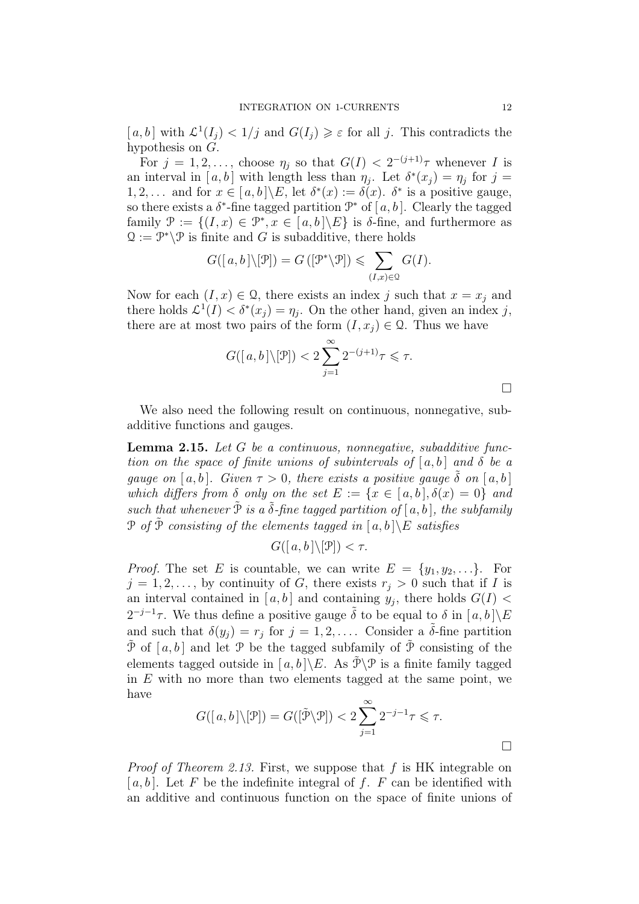$[a, b]$  with  $\mathcal{L}^1(I_j) < 1/j$  and  $G(I_j) \geq \varepsilon$  for all j. This contradicts the hypothesis on G.

For  $j = 1, 2, \ldots$ , choose  $\eta_j$  so that  $G(I) < 2^{-(j+1)}\tau$  whenever I is an interval in [a, b] with length less than  $\eta_j$ . Let  $\delta^*(x_j) = \eta_j$  for  $j =$ 1, 2, ... and for  $x \in [a, b] \backslash E$ , let  $\delta^*(x) := \delta(x)$ .  $\delta^*$  is a positive gauge, so there exists a  $\delta^*$ -fine tagged partition  $\mathcal{P}^*$  of  $[a, b]$ . Clearly the tagged family  $\mathcal{P} := \{(I, x) \in \mathcal{P}^*, x \in [a, b] \backslash E\}$  is  $\delta$ -fine, and furthermore as  $\mathfrak{Q} := \mathcal{P}^* \backslash \mathcal{P}$  is finite and G is subadditive, there holds

$$
G([a, b] \setminus [\mathcal{P}]) = G([\mathcal{P}^* \setminus \mathcal{P}]) \leqslant \sum_{(I, x) \in \mathcal{Q}} G(I).
$$

Now for each  $(I, x) \in \Omega$ , there exists an index j such that  $x = x_j$  and there holds  $\mathcal{L}^1(I) < \delta^*(x_j) = \eta_j$ . On the other hand, given an index j, there are at most two pairs of the form  $(I, x_i) \in \Omega$ . Thus we have

$$
G([a, b] \setminus [\mathcal{P}]) < 2 \sum_{j=1}^{\infty} 2^{-(j+1)} \tau \leq \tau.
$$

We also need the following result on continuous, nonnegative, subadditive functions and gauges.

Lemma 2.15. Let G be a continuous, nonnegative, subadditive function on the space of finite unions of subintervals of  $[a, b]$  and  $\delta$  be a gauge on [a, b]. Given  $\tau > 0$ , there exists a positive gauge  $\tilde{\delta}$  on [a, b] which differs from  $\delta$  only on the set  $E := \{x \in [a, b], \delta(x) = 0\}$  and such that whenever  $\tilde{\mathcal{P}}$  is a  $\tilde{\delta}$ -fine tagged partition of [a, b], the subfamily P of  $\tilde{\mathcal{P}}$  consisting of the elements tagged in  $[a, b] \backslash E$  satisfies

$$
G([a, b]\setminus[\mathcal{P}]) < \tau.
$$

*Proof.* The set E is countable, we can write  $E = \{y_1, y_2, \ldots\}$ . For  $j = 1, 2, \ldots$ , by continuity of G, there exists  $r_j > 0$  such that if I is an interval contained in  $[a, b]$  and containing  $y_j$ , there holds  $G(I)$  $2^{-j-1}\tau$ . We thus define a positive gauge  $\tilde{\delta}$  to be equal to  $\delta$  in  $[a, b] \backslash E$ and such that  $\delta(y_j) = r_j$  for  $j = 1, 2, \ldots$ . Consider a  $\tilde{\delta}$ -fine partition  $\tilde{\mathcal{P}}$  of  $[a, b]$  and let  $\mathcal{P}$  be the tagged subfamily of  $\tilde{\mathcal{P}}$  consisting of the elements tagged outside in  $[a, b] \ E$ . As  $\tilde{\mathcal{P}} \mathcal{P}$  is a finite family tagged in  $E$  with no more than two elements tagged at the same point, we have

$$
G([a, b] \setminus [\mathcal{P}]) = G([\tilde{\mathcal{P}} \setminus \mathcal{P}]) < 2 \sum_{j=1}^{\infty} 2^{-j-1} \tau \leq \tau.
$$

Proof of Theorem 2.13. First, we suppose that f is HK integrable on [a, b]. Let F be the indefinite integral of f. F can be identified with an additive and continuous function on the space of finite unions of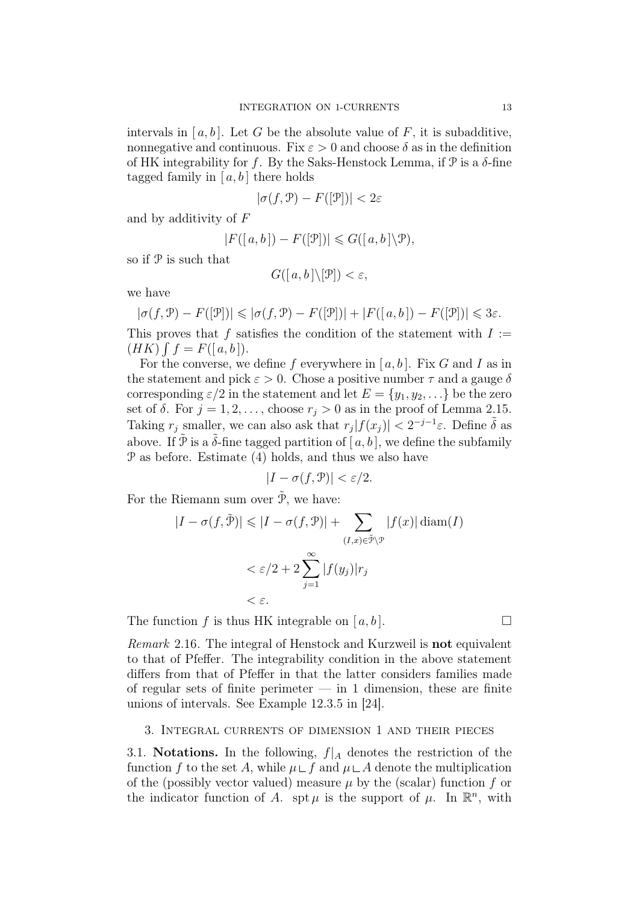intervals in [a, b]. Let G be the absolute value of F, it is subadditive, nonnegative and continuous. Fix  $\varepsilon > 0$  and choose  $\delta$  as in the definition of HK integrability for f. By the Saks-Henstock Lemma, if  $\mathcal P$  is a  $\delta$ -fine tagged family in  $[a, b]$  there holds

$$
|\sigma(f,\mathcal{P}) - F([\mathcal{P}])| < 2\varepsilon
$$

and by additivity of F

$$
|F([a,b])-F([\mathcal{P}])|\leqslant G([a,b]\backslash \mathcal{P}),
$$

so if P is such that

$$
G([a,b]\backslash [\mathcal{P}])<\varepsilon,
$$

we have

$$
|\sigma(f,\mathcal{P}) - F([\mathcal{P}])| \leq |\sigma(f,\mathcal{P}) - F([\mathcal{P}])| + |F([a,b]) - F([\mathcal{P}])| \leq 3\varepsilon.
$$

This proves that f satisfies the condition of the statement with  $I :=$  $(HK)$   $\int f = F([a, b]).$ 

For the converse, we define f everywhere in  $[a, b]$ . Fix G and I as in the statement and pick  $\varepsilon > 0$ . Chose a positive number  $\tau$  and a gauge  $\delta$ corresponding  $\varepsilon/2$  in the statement and let  $E = \{y_1, y_2, \ldots\}$  be the zero set of  $\delta$ . For  $j = 1, 2, \ldots$ , choose  $r_j > 0$  as in the proof of Lemma 2.15. Taking  $r_j$  smaller, we can also ask that  $r_j |f(x_j)| < 2^{-j-1}\varepsilon$ . Define  $\tilde{\delta}$  as above. If  $\tilde{\mathcal{P}}$  is a  $\tilde{\delta}$ -fine tagged partition of  $[a, b]$ , we define the subfamily P as before. Estimate (4) holds, and thus we also have

$$
|I - \sigma(f, \mathcal{P})| < \varepsilon/2.
$$

For the Riemann sum over  $\tilde{\mathcal{P}}$ , we have:

$$
|I - \sigma(f, \tilde{\mathcal{P}})| \leq |I - \sigma(f, \mathcal{P})| + \sum_{(I, x) \in \tilde{\mathcal{P}} \backslash \mathcal{P}} |f(x)| \operatorname{diam}(I)
$$
  

$$
< \varepsilon/2 + 2 \sum_{j=1}^{\infty} |f(y_j)| r_j
$$
  

$$
< \varepsilon.
$$

The function f is thus HK integrable on [a, b].

Remark 2.16. The integral of Henstock and Kurzweil is **not** equivalent to that of Pfeffer. The integrability condition in the above statement differs from that of Pfeffer in that the latter considers families made of regular sets of finite perimeter  $-$  in 1 dimension, these are finite unions of intervals. See Example 12.3.5 in [24].

#### 3. Integral currents of dimension 1 and their pieces

3.1. Notations. In the following,  $f|_A$  denotes the restriction of the function f to the set A, while  $\mu \sqcup f$  and  $\mu \sqcup A$  denote the multiplication of the (possibly vector valued) measure  $\mu$  by the (scalar) function f or the indicator function of A. spt  $\mu$  is the support of  $\mu$ . In  $\mathbb{R}^n$ , with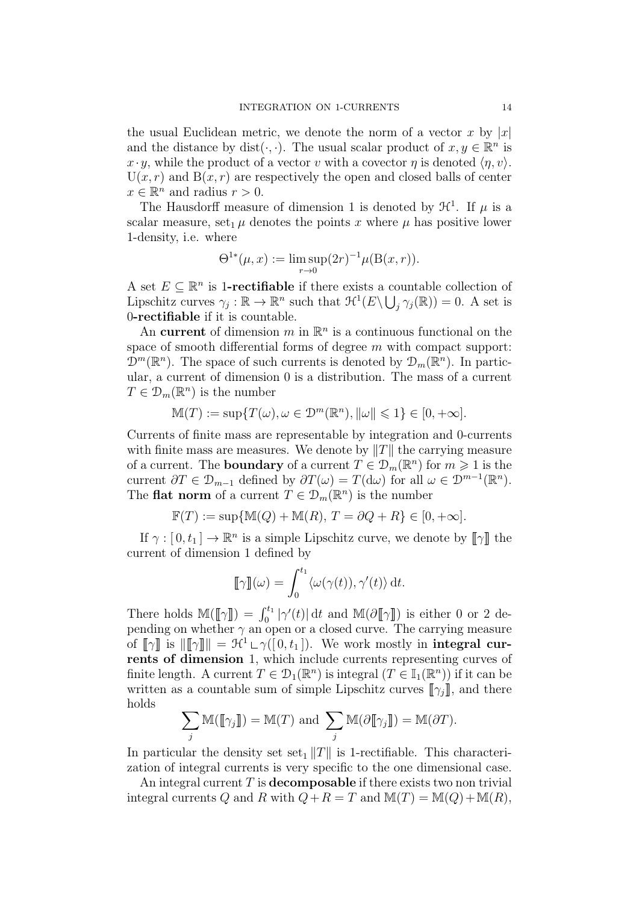the usual Euclidean metric, we denote the norm of a vector x by  $|x|$ and the distance by dist( $\cdot$ ,  $\cdot$ ). The usual scalar product of  $x, y \in \mathbb{R}^n$  is  $x \cdot y$ , while the product of a vector v with a covector  $\eta$  is denoted  $\langle \eta, v \rangle$ .  $U(x, r)$  and  $B(x, r)$  are respectively the open and closed balls of center  $x \in \mathbb{R}^n$  and radius  $r > 0$ .

The Hausdorff measure of dimension 1 is denoted by  $\mathcal{H}^1$ . If  $\mu$  is a scalar measure, set<sub>1</sub>  $\mu$  denotes the points x where  $\mu$  has positive lower 1-density, i.e. where

$$
\Theta^{1*}(\mu, x) := \limsup_{r \to 0} (2r)^{-1} \mu(\mathcal{B}(x, r)).
$$

A set  $E \subseteq \mathbb{R}^n$  is 1-**rectifiable** if there exists a countable collection of Lipschitz curves  $\gamma_j : \mathbb{R} \to \mathbb{R}^n$  such that  $\mathcal{H}^1(E \setminus \bigcup_j \gamma_j(\mathbb{R})) = 0$ . A set is 0-rectifiable if it is countable.

An current of dimension  $m$  in  $\mathbb{R}^n$  is a continuous functional on the space of smooth differential forms of degree  $m$  with compact support:  $\mathcal{D}^m(\mathbb{R}^n)$ . The space of such currents is denoted by  $\mathcal{D}_m(\mathbb{R}^n)$ . In particular, a current of dimension 0 is a distribution. The mass of a current  $T \in \mathcal{D}_m(\mathbb{R}^n)$  is the number

$$
\mathbb{M}(T) := \sup \{ T(\omega), \omega \in \mathcal{D}^m(\mathbb{R}^n), ||\omega|| \leq 1 \} \in [0, +\infty].
$$

Currents of finite mass are representable by integration and 0-currents with finite mass are measures. We denote by  $||T||$  the carrying measure of a current. The **boundary** of a current  $T \in \mathcal{D}_m(\mathbb{R}^n)$  for  $m \geq 1$  is the current  $\partial T \in \mathcal{D}_{m-1}$  defined by  $\partial T(\omega) = T(\mathrm{d}\omega)$  for all  $\omega \in \mathcal{D}^{m-1}(\mathbb{R}^n)$ . The **flat norm** of a current  $\hat{T} \in \mathcal{D}_m(\mathbb{R}^n)$  is the number

$$
\mathbb{F}(T):=\sup\{\mathbb{M}(Q)+\mathbb{M}(R),\, T=\partial Q+R\}\in [0,+\infty].
$$

If  $\gamma : [0, t_1] \to \mathbb{R}^n$  is a simple Lipschitz curve, we denote by  $[\![\gamma]\!]$  the current of dimension 1 defined by

$$
\llbracket \gamma \rrbracket(\omega) = \int_0^{t_1} \langle \omega(\gamma(t)), \gamma'(t) \rangle \, \mathrm{d}t.
$$

There holds  $\mathbb{M}(\llbracket \gamma \rrbracket) = \int_0^{t_1} |\gamma'(t)| dt$  and  $\mathbb{M}(\partial \llbracket \gamma \rrbracket)$  is either 0 or 2 depending on whether  $\gamma$  an open or a closed curve. The carrying measure of  $[\![\gamma]\!]$  is  $[\![\gamma]\!] \| = \mathcal{H}^1 \cup \gamma([0, t_1])$ . We work mostly in integral currents of dimension 1, which include currents representing curves of finite length. A current  $T \in \mathcal{D}_1(\mathbb{R}^n)$  is integral  $(T \in \mathbb{I}_1(\mathbb{R}^n))$  if it can be written as a countable sum of simple Lipschitz curves  $[\![\gamma_i]\!]$ , and there holds

$$
\sum_j \mathbb{M}([\![\gamma_j]\!]) = \mathbb{M}(T) \text{ and } \sum_j \mathbb{M}(\partial[\![\gamma_j]\!]) = \mathbb{M}(\partial T).
$$

In particular the density set set<sub>1</sub>  $||T||$  is 1-rectifiable. This characterization of integral currents is very specific to the one dimensional case.

An integral current T is **decomposable** if there exists two non trivial integral currents Q and R with  $Q + R = T$  and  $M(T) = M(Q) + M(R)$ .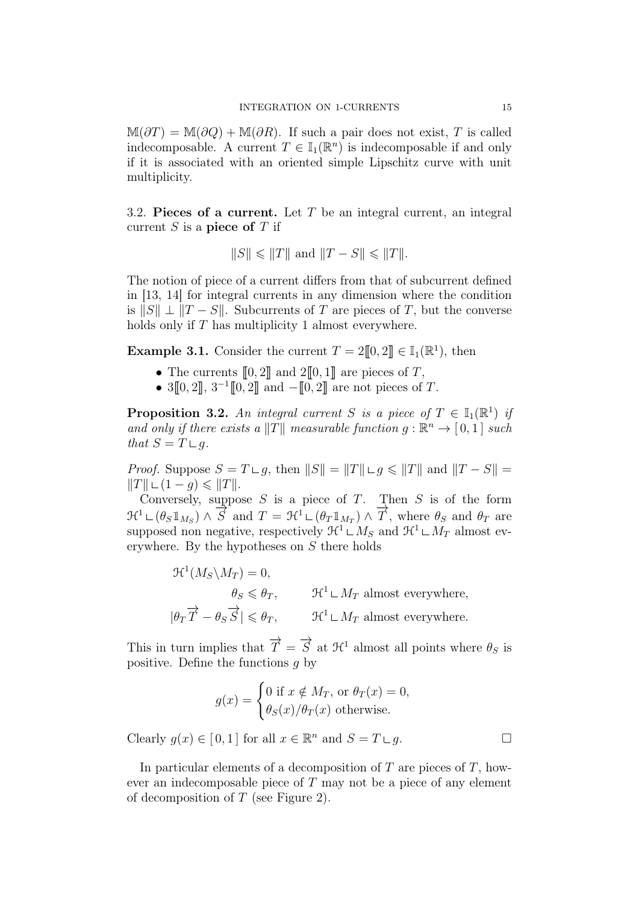$M(\partial T) = M(\partial Q) + M(\partial R)$ . If such a pair does not exist, T is called indecomposable. A current  $T \in \mathbb{I}_1(\mathbb{R}^n)$  is indecomposable if and only if it is associated with an oriented simple Lipschitz curve with unit multiplicity.

3.2. Pieces of a current. Let  $T$  be an integral current, an integral current  $S$  is a piece of  $T$  if

$$
\|S\|\leqslant\|T\|\text{ and }\|T-S\|\leqslant\|T\|.
$$

The notion of piece of a current differs from that of subcurrent defined in [13, 14] for integral currents in any dimension where the condition is  $||S|| \perp ||T - S||$ . Subcurrents of T are pieces of T, but the converse holds only if T has multiplicity 1 almost everywhere.

**Example 3.1.** Consider the current  $T = 2[0, 2] \in \mathbb{I}_1(\mathbb{R}^1)$ , then

- The currents  $[0, 2]$  and  $2[0, 1]$  are pieces of T,
- $3[0, 2], 3^{-1}[0, 2]$  and  $-[0, 2]$  are not pieces of T.

**Proposition 3.2.** An integral current S is a piece of  $T \in \mathbb{I}_1(\mathbb{R}^1)$  if and only if there exists a  $||T||$  measurable function  $g : \mathbb{R}^n \to [0,1]$  such that  $S = T \sqcup q$ .

*Proof.* Suppose  $S = T \sqcup q$ , then  $||S|| = ||T|| \sqcup q \le ||T||$  and  $||T - S|| =$  $||T|| \sqcup (1 - q) \leq ||T||.$ 

Conversely, suppose  $S$  is a piece of  $T$ . Then  $S$  is of the form  $\mathcal{H}^1 \sqcup (\theta_S \mathbb{1}_{M_S}) \wedge \overrightarrow{S}$  and  $T = \mathcal{H}^1 \sqcup (\theta_T \mathbb{1}_{M_T}) \wedge \overrightarrow{T}$ , where  $\theta_S$  and  $\theta_T$  are supposed non negative, respectively  $\mathcal{H}^1 \sqcup M_S$  and  $\mathcal{H}^1 \sqcup M_T$  almost everywhere. By the hypotheses on S there holds

> $\mathfrak{R}^1(M_S\backslash M_T)=0,$  $\theta_S \leq \theta_T$ ,  $\mathcal{H}^1 \sqcup M_T$  almost everywhere,  $|\theta_T \overrightarrow{T} - \theta_S \overrightarrow{S}| \leq \theta_T, \qquad \mathcal{H}^1 \sqcup M_T \text{ almost everywhere.}$

This in turn implies that  $\overrightarrow{T} = \overrightarrow{S}$  at  $\mathcal{H}^1$  almost all points where  $\theta_S$  is positive. Define the functions  $q$  by

$$
g(x) = \begin{cases} 0 \text{ if } x \notin M_T, \text{ or } \theta_T(x) = 0, \\ \theta_S(x) / \theta_T(x) \text{ otherwise.} \end{cases}
$$

Clearly  $g(x) \in [0,1]$  for all  $x \in \mathbb{R}^n$  and  $S = T \sqcup g$ .

In particular elements of a decomposition of  $T$  are pieces of  $T$ , however an indecomposable piece of  $T$  may not be a piece of any element of decomposition of  $T$  (see Figure 2).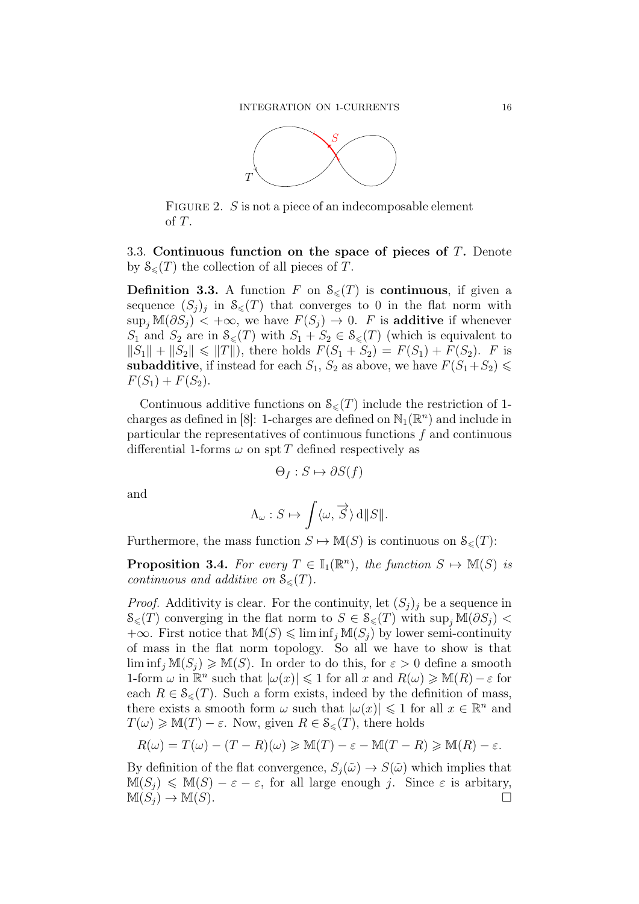

FIGURE 2. S is not a piece of an indecomposable element of T.

3.3. Continuous function on the space of pieces of T. Denote by  $\mathcal{S}_{\leq}(T)$  the collection of all pieces of T.

**Definition 3.3.** A function F on  $S_{\leq}(T)$  is **continuous**, if given a sequence  $(S_j)_j$  in  $S_{\leqslant}(T)$  that converges to 0 in the flat norm with  $\sup_j \mathbb{M}(\partial S_j) < +\infty$ , we have  $F(S_j) \to 0$ . F is additive if whenever  $S_1$  and  $S_2$  are in  $\mathcal{S}_{\leq}(T)$  with  $S_1 + S_2 \in \mathcal{S}_{\leq}(T)$  (which is equivalent to  $||S_1|| + ||S_2|| \le ||T||$ , there holds  $F(S_1 + S_2) = F(S_1) + F(S_2)$ . F is subadditive, if instead for each  $S_1$ ,  $S_2$  as above, we have  $F(S_1+S_2)$  $F(S_1) + F(S_2)$ .

Continuous additive functions on  $\mathcal{S}_{\leq}(T)$  include the restriction of 1charges as defined in [8]: 1-charges are defined on  $\mathbb{N}_1(\mathbb{R}^n)$  and include in particular the representatives of continuous functions f and continuous differential 1-forms  $\omega$  on spt T defined respectively as

$$
\Theta_f : S \mapsto \partial S(f)
$$

and

$$
\Lambda_{\omega}: S \mapsto \int \langle \omega, \overrightarrow{S} \rangle \,d||S||.
$$

Furthermore, the mass function  $S \mapsto M(S)$  is continuous on  $\mathcal{S}_{\leq}(T)$ :

**Proposition 3.4.** For every  $T \in \mathbb{I}_1(\mathbb{R}^n)$ , the function  $S \mapsto \mathbb{M}(S)$  is continuous and additive on  $\mathcal{S}_{\leq}(T)$ .

*Proof.* Additivity is clear. For the continuity, let  $(S_i)_i$  be a sequence in  $\mathcal{S}_{\leq}(T)$  converging in the flat norm to  $S \in \mathcal{S}_{\leq}(T)$  with  $\sup_{i} \mathbb{M}(\partial S_{i})$  $+\infty$ . First notice that  $\mathbb{M}(S) \leq \liminf_i \mathbb{M}(S_i)$  by lower semi-continuity of mass in the flat norm topology. So all we have to show is that  $\liminf_i M(S_i) \geq M(S)$ . In order to do this, for  $\varepsilon > 0$  define a smooth 1-form  $\omega$  in  $\mathbb{R}^n$  such that  $|\omega(x)| \leq 1$  for all x and  $R(\omega) \geq M(R) - \varepsilon$  for each  $R \in \mathcal{S}_{\leq}(T)$ . Such a form exists, indeed by the definition of mass, there exists a smooth form  $\omega$  such that  $|\omega(x)| \leq 1$  for all  $x \in \mathbb{R}^n$  and  $T(\omega) \geq M(T) - \varepsilon$ . Now, given  $R \in \mathcal{S}_{\leq}(T)$ , there holds

$$
R(\omega) = T(\omega) - (T - R)(\omega) \ge M(T) - \varepsilon - M(T - R) \ge M(R) - \varepsilon.
$$

By definition of the flat convergence,  $S_i(\tilde{\omega}) \rightarrow S(\tilde{\omega})$  which implies that  $M(S_j) \leq M(S) - \varepsilon - \varepsilon$ , for all large enough j. Since  $\varepsilon$  is arbitary,<br> $M(S_i) \to M(S)$ .  $M(S_i) \to M(S)$ .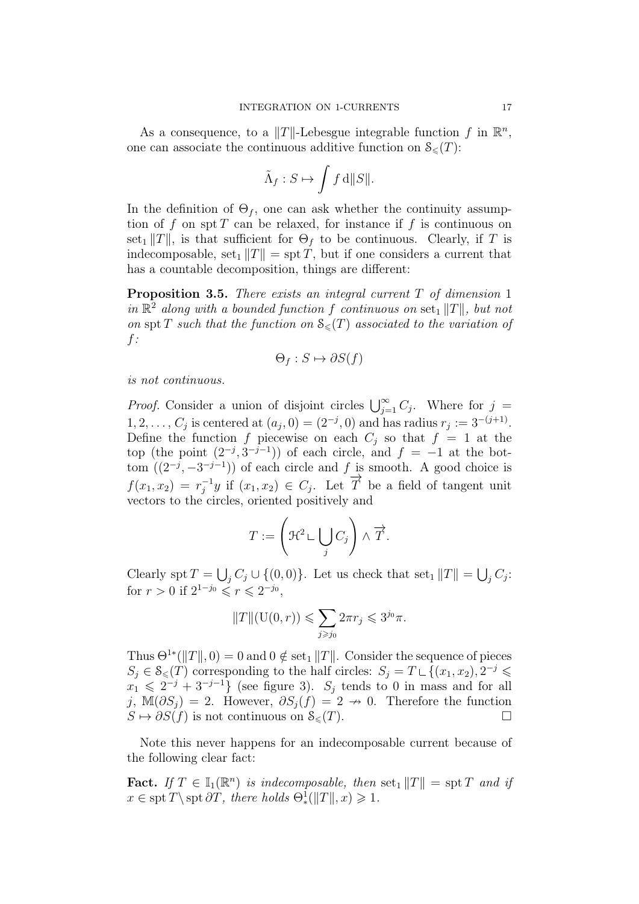As a consequence, to a  $||T||$ -Lebesgue integrable function f in  $\mathbb{R}^n$ , one can associate the continuous additive function on  $\mathcal{S}_{\leq}(T)$ :

$$
\tilde{\Lambda}_f: S \mapsto \int f \,\mathrm{d} \|S\|.
$$

In the definition of  $\Theta_f$ , one can ask whether the continuity assumption of f on spt T can be relaxed, for instance if f is continuous on set<sub>1</sub>  $||T||$ , is that sufficient for  $\Theta_f$  to be continuous. Clearly, if T is indecomposable, set<sub>1</sub>  $||T|| =$  spt T, but if one considers a current that has a countable decomposition, things are different:

**Proposition 3.5.** There exists an integral current  $T$  of dimension 1 in  $\mathbb{R}^2$  along with a bounded function f continuous on set<sub>1</sub> ||T||, but not on spt T such that the function on  $\mathcal{S}_{\leq}(T)$  associated to the variation of f:

$$
\Theta_f : S \mapsto \partial S(f)
$$

is not continuous.

*Proof.* Consider a union of disjoint circles  $\bigcup_{j=1}^{\infty} C_j$ . Where for  $j =$  $1, 2, \ldots, C_j$  is centered at  $(a_j, 0) = (2^{-j}, 0)$  and has radius  $r_j := 3^{-(j+1)}$ . Define the function f piecewise on each  $C_i$  so that  $f = 1$  at the top (the point  $(2^{-j}, 3^{-j-1})$ ) of each circle, and  $f = -1$  at the bottom  $((2^{-j}, -3^{-j-1}))$  of each circle and  $f_{\longrightarrow}$  is smooth. A good choice is  $f(x_1, x_2) = r_i^{-1}$  $j^{-1}y$  if  $(x_1, x_2) \in C_j$ . Let  $\overrightarrow{T}$  be a field of tangent unit vectors to the circles, oriented positively and

$$
T := \left(\mathcal{H}^2 \sqcup \bigcup_j C_j\right) \wedge \overrightarrow{T}.
$$

Clearly spt  $T = \bigcup_j C_j \cup \{(0,0)\}\)$ . Let us check that set<sub>1</sub>  $||T|| = \bigcup_j C_j$ : for  $r > 0$  if  $2^{1-j_0} \le r \le 2^{-j_0}$ ,

$$
||T||(\mathcal{U}(0,r)) \leqslant \sum_{j \geqslant j_0} 2\pi r_j \leqslant 3^{j_0}\pi.
$$

Thus  $\Theta^{1*}(\|T\|, 0) = 0$  and  $0 \notin \text{set}_1 \|T\|$ . Consider the sequence of pieces  $S_j \in \mathcal{S}_{\leq}(T)$  corresponding to the half circles:  $S_j = T \sqcup \{(x_1, x_2), 2^{-j} \leq$  $x_1 \leqslant 2^{-j} + 3^{-j-1}$  (see figure 3).  $S_j$  tends to 0 in mass and for all j, M( $\partial S_i$ ) = 2. However,  $\partial S_i(f) = 2 \rightarrow 0$ . Therefore the function  $S \mapsto \partial S(f)$  is not continuous on  $\mathcal{S}_{\leq}(T)$ .

Note this never happens for an indecomposable current because of the following clear fact:

**Fact.** If  $T \in \mathbb{I}_1(\mathbb{R}^n)$  is indecomposable, then set<sub>1</sub>  $||T|| = \text{spr } T$  and if  $x \in \text{spt } T \setminus \text{spt } \partial T$ , there holds  $\Theta_*^{\mathbb{I}}(\|T\|,x) \geq 1$ .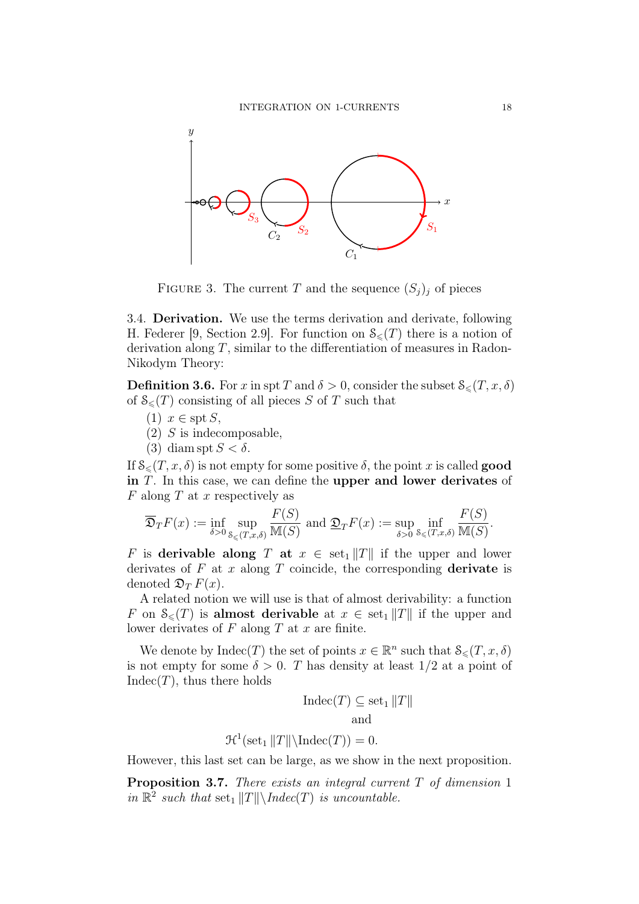

FIGURE 3. The current T and the sequence  $(S_j)_j$  of pieces

3.4. Derivation. We use the terms derivation and derivate, following H. Federer [9, Section 2.9]. For function on  $\mathcal{S}_{\leq}(T)$  there is a notion of derivation along  $T$ , similar to the differentiation of measures in Radon-Nikodym Theory:

**Definition 3.6.** For x in spt T and  $\delta > 0$ , consider the subset  $\mathcal{S}_{\leq}(T, x, \delta)$ of  $\mathcal{S}_{\leq}(T)$  consisting of all pieces S of T such that

- $(1)$   $x \in \text{spt } S$ ,
- $(2)$  S is indecomposable,
- (3) diam spt  $S < \delta$ .

If  $\mathcal{S}_{\leq}(T, x, \delta)$  is not empty for some positive  $\delta$ , the point x is called **good** in T. In this case, we can define the upper and lower derivates of  $F$  along  $T$  at  $x$  respectively as

$$
\overline{\mathfrak{D}}_T F(x) := \inf_{\delta > 0} \sup_{\mathcal{S}_{\leq}(T,x,\delta)} \frac{F(S)}{\mathbb{M}(S)} \text{ and } \underline{\mathfrak{D}}_T F(x) := \sup_{\delta > 0} \inf_{\mathcal{S}_{\leq}(T,x,\delta)} \frac{F(S)}{\mathbb{M}(S)}.
$$

F is derivable along T at  $x \in \operatorname{set}_1 ||T||$  if the upper and lower derivates of  $F$  at  $x$  along  $T$  coincide, the corresponding **derivate** is denoted  $\mathfrak{D}_T F(x)$ .

A related notion we will use is that of almost derivability: a function F on  $\mathcal{S}_{\leq}(T)$  is almost derivable at  $x \in \text{set}_1 || T ||$  if the upper and lower derivates of  $F$  along  $T$  at  $x$  are finite.

We denote by  $\text{Indec}(T)$  the set of points  $x \in \mathbb{R}^n$  such that  $\mathcal{S}_{\leq}(T, x, \delta)$ is not empty for some  $\delta > 0$ . T has density at least  $1/2$  at a point of  $Indec(T)$ , thus there holds

$$
Indec(T) \subseteq set_1 ||T||
$$
  
and

$$
\mathcal{H}^1(\text{set}_1 || T || \backslash \text{Index}(T)) = 0.
$$

However, this last set can be large, as we show in the next proposition.

**Proposition 3.7.** There exists an integral current  $T$  of dimension 1 in  $\mathbb{R}^2$  such that  $\text{set}_1 ||T|| \backslash Indec(T)$  is uncountable.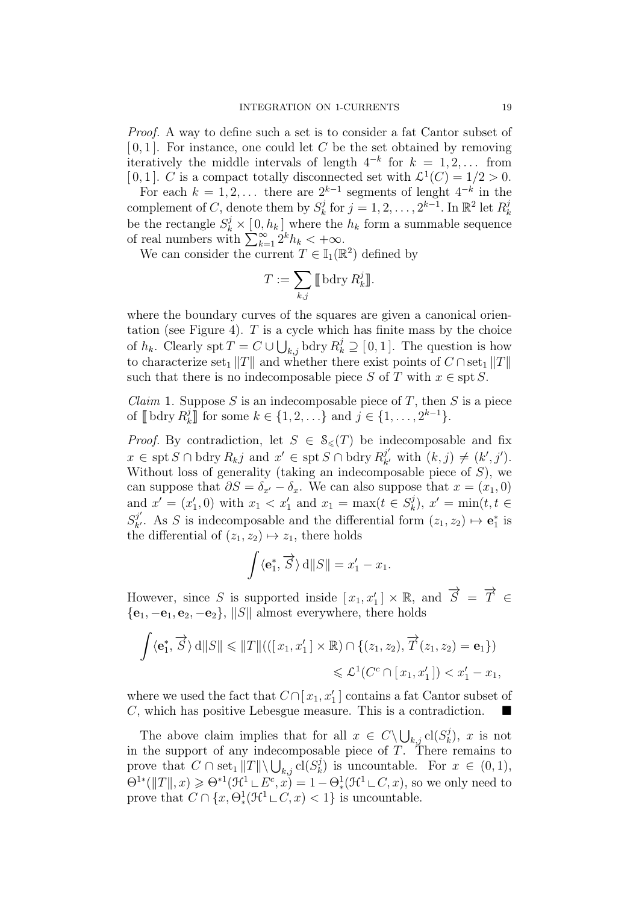Proof. A way to define such a set is to consider a fat Cantor subset of  $[0, 1]$ . For instance, one could let C be the set obtained by removing iteratively the middle intervals of length  $4^{-k}$  for  $k = 1, 2, \ldots$  from [0,1]. C is a compact totally disconnected set with  $\mathcal{L}^1(C) = 1/2 > 0$ .

For each  $k = 1, 2, \ldots$  there are  $2^{k-1}$  segments of lenght  $4^{-k}$  in the complement of C, denote them by  $S_k^j$  $\mathbf{g}_k^j$  for  $j=1,2,\ldots,2^{k-1}$ . In  $\mathbb{R}^2$  let  $R_k^j$ k be the rectangle  $S_k^j \times [0, h_k]$  where the  $h_k$  form a summable sequence of real numbers with  $\sum_{k=1}^{\infty} 2^k h_k < +\infty.$ 

We can consider the current  $T \in \mathbb{I}_1(\mathbb{R}^2)$  defined by

$$
T := \sum_{k,j} \llbracket \text{bdry } R_k^j \rrbracket.
$$

where the boundary curves of the squares are given a canonical orientation (see Figure 4).  $T$  is a cycle which has finite mass by the choice of  $h_k$ . Clearly spt  $T = C \cup \bigcup_{k,j}$  bdry  $R_k^j \supseteq [0,1]$ . The question is how to characterize set<sub>1</sub>  $||T||$  and whether there exist points of  $C \cap \text{set}_1 ||T||$ such that there is no indecomposable piece S of T with  $x \in \text{spt } S$ .

*Claim* 1. Suppose S is an indecomposable piece of T, then S is a piece of  $\llbracket \text{ bdry } R_k^j$  $\{x_k\}$  for some  $k \in \{1, 2, \ldots\}$  and  $j \in \{1, \ldots, 2^{k-1}\}.$ 

*Proof.* By contradiction, let  $S \in \mathcal{S}_{\leq}(T)$  be indecomposable and fix  $x \in \operatorname{spt} S \cap \text{bdry } R_{kj}$  and  $x' \in \operatorname{spt} S \cap \text{bdry } R_{k'}^{j'}$  $y'_{k'}$  with  $(k, j) \neq (k', j').$ Without loss of generality (taking an indecomposable piece of  $S$ ), we can suppose that  $\partial S = \delta_{x'} - \delta_x$ . We can also suppose that  $x = (x_1, 0)$ and  $x' = (x'_1, 0)$  with  $x_1 < x'_1$  and  $x_1 = \max(t \in S_k^j)$  $(x_k^j)$ ,  $x' = \min(t, t \in$  $S^{j'}_{k'}$ <sup>j'</sup>. As S is indecomposable and the differential form  $(z_1, z_2) \mapsto \mathbf{e}_1^*$  is the differential of  $(z_1, z_2) \mapsto z_1$ , there holds

$$
\int \langle \mathbf{e}_1^*, \overrightarrow{S} \rangle \, d||S|| = x_1' - x_1.
$$

However, since S is supported inside  $[x_1, x_1'] \times \mathbb{R}$ , and  $\overrightarrow{S} = \overrightarrow{T} \in$  ${e_1, -e_1, e_2, -e_2}$ ,  $||S||$  almost everywhere, there holds

$$
\int \langle \mathbf{e}_1^*, \overrightarrow{S} \rangle \, d\|S\| \le \|T\| \left( ([x_1, x_1'] \times \mathbb{R}) \cap \{(z_1, z_2), \overrightarrow{T}(z_1, z_2) = \mathbf{e}_1\} \right)
$$
  

$$
\le \mathcal{L}^1(C^c \cap [x_1, x_1']) < x_1' - x_1,
$$

where we used the fact that  $C \cap [x_1, x_1']$  contains a fat Cantor subset of C, which has positive Lebesgue measure. This is a contradiction.

The above claim implies that for all  $x \in C \setminus \bigcup_{k,j} \text{cl}(S_k^j)$  $\binom{J}{k}$ , x is not in the support of any indecomposable piece of  $T$ . There remains to prove that  $C \cap \text{set}_1 ||T|| \setminus \bigcup_{k,j} \text{cl}(S_k^j)$  $\binom{d}{k}$  is uncountable. For  $x \in (0,1)$ ,  $\Theta^{1*}(\Vert T \Vert, x) \geq \Theta^{*1}(\mathcal{H}^1 \sqcup E^c, x) = 1 - \Theta^1_*(\mathcal{H}^1 \sqcup C, x)$ , so we only need to prove that  $C \cap \{x, \Theta^1_*(\mathcal{H}^1 \sqcup C, x) < 1\}$  is uncountable.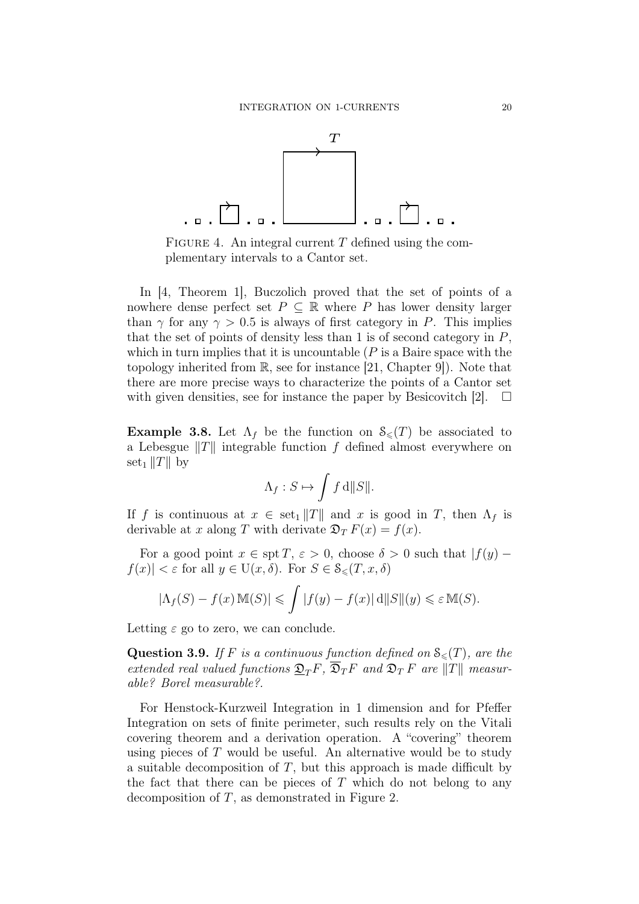

FIGURE 4. An integral current  $T$  defined using the complementary intervals to a Cantor set.

In [4, Theorem 1], Buczolich proved that the set of points of a nowhere dense perfect set  $P \subseteq \mathbb{R}$  where P has lower density larger than  $\gamma$  for any  $\gamma > 0.5$  is always of first category in P. This implies that the set of points of density less than 1 is of second category in  $P$ , which in turn implies that it is uncountable  $(P \text{ is a Baire space with the})$ topology inherited from R, see for instance [21, Chapter 9]). Note that there are more precise ways to characterize the points of a Cantor set with given densities, see for instance the paper by Besicovitch [2].  $\Box$ 

**Example 3.8.** Let  $\Lambda_f$  be the function on  $\mathcal{S}_{\leq}(T)$  be associated to a Lebesgue  $||T||$  integrable function f defined almost everywhere on set<sub>1</sub> ||T|| by

$$
\Lambda_f: S \mapsto \int f \,\mathrm{d} \|S\|.
$$

If f is continuous at  $x \in \operatorname{set}_1 ||T||$  and x is good in T, then  $\Lambda_f$  is derivable at x along T with derivate  $\mathfrak{D}_T F(x) = f(x)$ .

For a good point  $x \in \text{spt } T, \, \varepsilon > 0$ , choose  $\delta > 0$  such that  $|f(y) - f(x)|$  $|f(x)| < \varepsilon$  for all  $y \in U(x, \delta)$ . For  $S \in \mathcal{S}_{\leq}(T, x, \delta)$ 

$$
|\Lambda_f(S) - f(x) \mathbb{M}(S)| \leq \int |f(y) - f(x)| \, \mathrm{d} \|S\|(y) \leq \varepsilon \mathbb{M}(S).
$$

Letting  $\varepsilon$  go to zero, we can conclude.

**Question 3.9.** If F is a continuous function defined on  $\mathcal{S}_{\leq}(T)$ , are the extended real valued functions  $\mathfrak{D}_T F$ ,  $\overline{\mathfrak{D}}_T F$  and  $\mathfrak{D}_T F$  are  $||T||$  measurable? Borel measurable?.

For Henstock-Kurzweil Integration in 1 dimension and for Pfeffer Integration on sets of finite perimeter, such results rely on the Vitali covering theorem and a derivation operation. A "covering" theorem using pieces of  $T$  would be useful. An alternative would be to study a suitable decomposition of  $T$ , but this approach is made difficult by the fact that there can be pieces of  $T$  which do not belong to any decomposition of  $T$ , as demonstrated in Figure 2.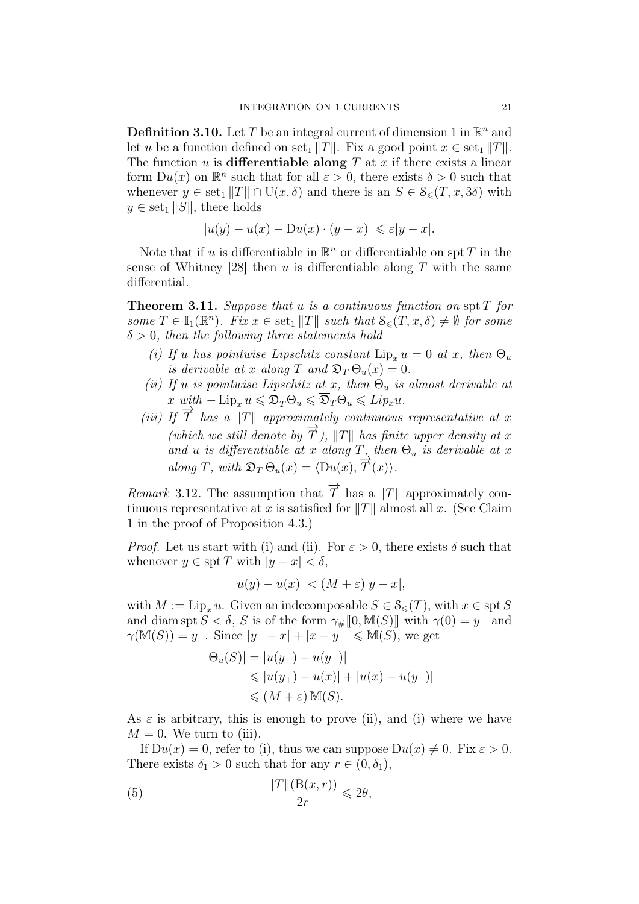**Definition 3.10.** Let T be an integral current of dimension 1 in  $\mathbb{R}^n$  and let u be a function defined on set<sub>1</sub> kTs. Fix a good point  $x \in \text{set}_1 ||T||$ . The function u is **differentiable along** T at x if there exists a linear form  $Du(x)$  on  $\mathbb{R}^n$  such that for all  $\varepsilon > 0$ , there exists  $\delta > 0$  such that whenever  $y \in \text{set}_1 ||T|| \cap U(x, \delta)$  and there is an  $S \in \mathcal{S}_{\leq}(T, x, 3\delta)$  with  $y \in \text{set}_1 ||S||$ , there holds

$$
|u(y) - u(x) - Du(x) \cdot (y - x)| \leqslant \varepsilon |y - x|.
$$

Note that if u is differentiable in  $\mathbb{R}^n$  or differentiable on spt T in the sense of Whitney [28] then u is differentiable along  $T$  with the same differential.

**Theorem 3.11.** Suppose that u is a continuous function on spt  $T$  for some  $T \in \mathbb{I}_1(\mathbb{R}^n)$ . Fix  $x \in \text{set}_1 ||T||$  such that  $S_{\leq}(T, x, \delta) \neq \emptyset$  for some  $\delta > 0$ , then the following three statements hold

- (i) If u has pointwise Lipschitz constant  $\text{Lip}_x u = 0$  at x, then  $\Theta_u$ is derivable at x along T and  $\mathfrak{D}_T \Theta_u(x) = 0$ .
- (ii) If u is pointwise Lipschitz at x, then  $\Theta_u$  is almost derivable at x with  $-\operatorname{Lip}_x u \leq \mathfrak{D}_T \Theta_u \leq \overline{\mathfrak{D}}_T \Theta_u \leqslant Lip_xu$ .
- (iii) If  $\overrightarrow{T}$  has a  $\Vert T \Vert$  approximately continuous representative at x (which we still denote by  $\overrightarrow{T}$ ),  $||T||$  has finite upper density at x and u is differentiable at x along  $T$ , then  $\Theta_u$  is derivable at x along T, with  $\mathfrak{D}_T \Theta_u(x) = \langle \mathrm{D} u(x), \overrightarrow{T}(x) \rangle$ .

*Remark* 3.12. The assumption that  $\overrightarrow{T}$  has a  $||T||$  approximately continuous representative at x is satisfied for  $||T||$  almost all x. (See Claim 1 in the proof of Proposition 4.3.)

*Proof.* Let us start with (i) and (ii). For  $\varepsilon > 0$ , there exists  $\delta$  such that whenever  $y \in \text{spt } T$  with  $|y - x| < \delta$ ,

$$
|u(y) - u(x)| < (M + \varepsilon)|y - x|,
$$

with  $M := \text{Lip}_{x} u$ . Given an indecomposable  $S \in \mathcal{S}_{\leq}(T)$ , with  $x \in \text{spt } S$ and diam spt  $S < \delta$ , S is of the form  $\gamma_{\#} [0, M(S)]$  with  $\gamma(0) = y_{-}$  and  $\gamma(M(S)) = y_+$ . Since  $|y_+ - x| + |x - y_-| \le M(S)$ , we get

$$
|\Theta_u(S)| = |u(y_+) - u(y_-)|
$$
  
\n
$$
\leq |u(y_+) - u(x)| + |u(x) - u(y_-)|
$$
  
\n
$$
\leq (M + \varepsilon) M(S).
$$

As  $\varepsilon$  is arbitrary, this is enough to prove (ii), and (i) where we have  $M = 0$ . We turn to (iii).

If  $Du(x) = 0$ , refer to (i), thus we can suppose  $Du(x) \neq 0$ . Fix  $\varepsilon > 0$ . There exists  $\delta_1 > 0$  such that for any  $r \in (0, \delta_1)$ ,

(5) 
$$
\frac{\|T\|(\mathcal{B}(x,r))}{2r} \leq 2\theta,
$$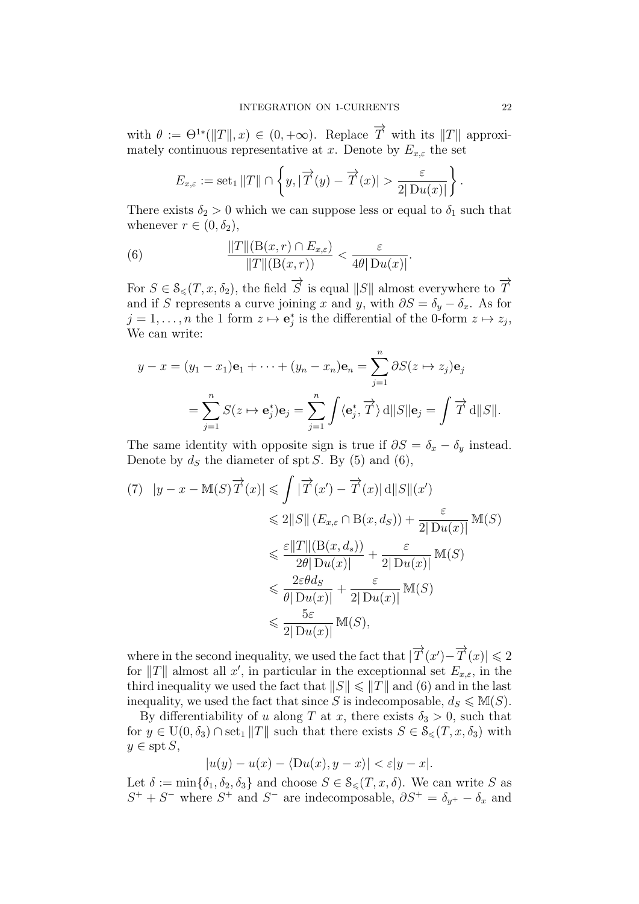with  $\theta := \Theta^{1*}(\|T\|, x) \in (0, +\infty)$ . Replace  $\overrightarrow{T}$  with its  $\|T\|$  approximately continuous representative at x. Denote by  $E_{x,\varepsilon}$  the set

$$
E_{x,\varepsilon} := \operatorname{set}_1 ||T|| \cap \left\{ y, |\overrightarrow{T}(y) - \overrightarrow{T}(x)| > \frac{\varepsilon}{2|\operatorname{D} u(x)|} \right\}.
$$

There exists  $\delta_2 > 0$  which we can suppose less or equal to  $\delta_1$  such that whenever  $r \in (0, \delta_2)$ ,

(6) 
$$
\frac{\|T\|(\mathrm{B}(x,r)\cap E_{x,\varepsilon})}{\|T\|(\mathrm{B}(x,r))} < \frac{\varepsilon}{4\theta|\mathrm{D}u(x)|}.
$$

For  $S \in \mathcal{S}_{\leq}(T, x, \delta_2)$ , the field  $\overrightarrow{S}$  is equal  $||S||$  almost everywhere to  $\overrightarrow{T}$ and if S represents a curve joining x and y, with  $\partial S = \delta_y - \delta_x$ . As for  $j = 1, \ldots, n$  the 1 form  $z \mapsto \mathbf{e}_j^*$  is the differential of the 0-form  $z \mapsto z_j$ , We can write:

$$
y - x = (y_1 - x_1)\mathbf{e}_1 + \dots + (y_n - x_n)\mathbf{e}_n = \sum_{j=1}^n \partial S(z \mapsto z_j)\mathbf{e}_j
$$
  
= 
$$
\sum_{j=1}^n S(z \mapsto \mathbf{e}_j^*)\mathbf{e}_j = \sum_{j=1}^n \int \langle \mathbf{e}_j^*, \overrightarrow{T} \rangle \, d||S||\mathbf{e}_j = \int \overrightarrow{T} d||S||.
$$

The same identity with opposite sign is true if  $\partial S = \delta_x - \delta_y$  instead. Denote by  $d_S$  the diameter of spt S. By (5) and (6),

$$
(7) \quad |y - x - M(S)\overrightarrow{T}(x)| \leq \int |\overrightarrow{T}(x') - \overrightarrow{T}(x)| \, d\|S\|(x')
$$
  
\n
$$
\leq 2\|S\| \left(E_{x,\varepsilon} \cap B(x, d_S)\right) + \frac{\varepsilon}{2|Du(x)|} M(S)
$$
  
\n
$$
\leq \frac{\varepsilon \|T\| (B(x, d_s))}{2\theta |Du(x)|} + \frac{\varepsilon}{2|Du(x)|} M(S)
$$
  
\n
$$
\leq \frac{2\varepsilon\theta d_S}{\theta |Du(x)|} + \frac{\varepsilon}{2|Du(x)|} M(S)
$$
  
\n
$$
\leq \frac{5\varepsilon}{2|Du(x)|} M(S),
$$

where in the second inequality, we used the fact that  $|\overrightarrow{T}(x') - \overrightarrow{T}(x)| \leq 2$ for  $||T||$  almost all x', in particular in the exceptionnal set  $E_{x,\varepsilon}$ , in the third inequality we used the fact that  $||S|| \le ||T||$  and (6) and in the last inequality, we used the fact that since S is indecomposable,  $d_S \le M(S)$ .

By differentiability of u along T at x, there exists  $\delta_3 > 0$ , such that for  $y \in U(0, \delta_3) \cap \text{set}_1 ||T||$  such that there exists  $S \in \mathcal{S}_{\leq}(T, x, \delta_3)$  with  $y \in \text{spt } S$ ,

$$
|u(y) - u(x) - \langle Du(x), y - x \rangle| < \varepsilon |y - x|.
$$

Let  $\delta := \min\{\delta_1, \delta_2, \delta_3\}$  and choose  $S \in \mathcal{S}_{\leq}(T, x, \delta)$ . We can write S as  $S^+ + S^-$  where  $S^+$  and  $S^-$  are indecomposable,  $\partial S^+ = \delta_{y^+} - \delta_x$  and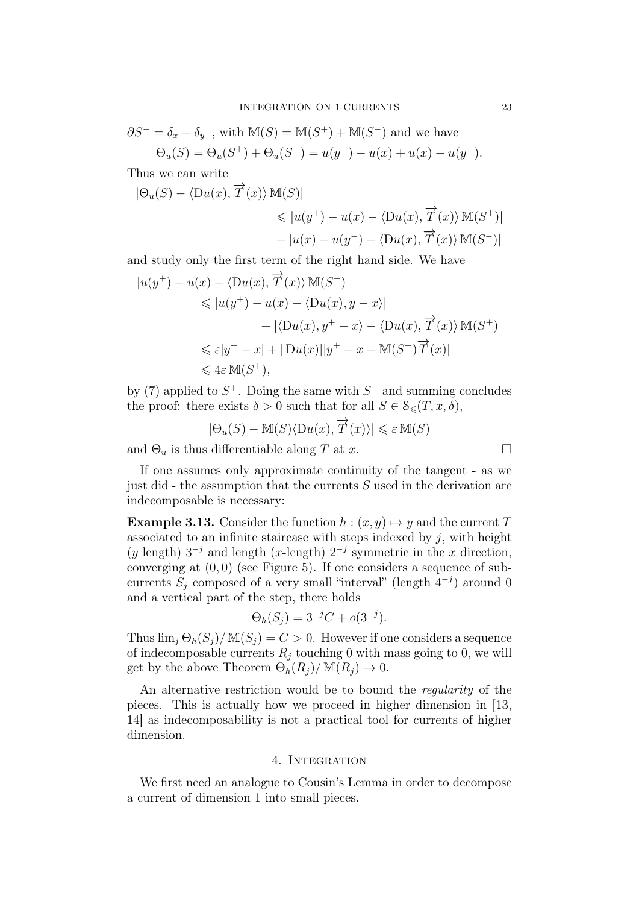$$
\partial S^- = \delta_x - \delta_{y^-}
$$
, with  $\mathbb{M}(S) = \mathbb{M}(S^+) + \mathbb{M}(S^-)$  and we have  
\n
$$
\Theta_u(S) = \Theta_u(S^+) + \Theta_u(S^-) = u(y^+) - u(x) + u(x) - u(y^-).
$$

Thus we can write

$$
|\Theta_u(S) - \langle Du(x), \overrightarrow{T}(x) \rangle \mathbb{M}(S)|
$$
  
\$\leqslant |u(y^+) - u(x) - \langle Du(x), \overrightarrow{T}(x) \rangle \mathbb{M}(S^+)|\$  
+ |u(x) - u(y^-) - \langle Du(x), \overrightarrow{T}(x) \rangle \mathbb{M}(S^-)|\$

and study only the first term of the right hand side. We have

$$
|u(y^+) - u(x) - \langle Du(x), \overrightarrow{T}(x) \rangle \mathbb{M}(S^+)|
$$
  
\n
$$
\leq |u(y^+) - u(x) - \langle Du(x), y - x \rangle|
$$
  
\n
$$
+ |\langle Du(x), y^+ - x \rangle - \langle Du(x), \overrightarrow{T}(x) \rangle \mathbb{M}(S^+)|
$$
  
\n
$$
\leq \varepsilon |y^+ - x| + |Du(x)||y^+ - x - \mathbb{M}(S^+) \overrightarrow{T}(x)|
$$
  
\n
$$
\leq 4\varepsilon \mathbb{M}(S^+),
$$

by (7) applied to  $S^+$ . Doing the same with  $S^-$  and summing concludes the proof: there exists  $\delta > 0$  such that for all  $S \in \mathcal{S}_{\leq}(T, x, \delta)$ ,

$$
|\Theta_u(S) - \mathbb{M}(S)\langle \mathcal{D}u(x), \overrightarrow{T}(x)\rangle| \leq \varepsilon \mathbb{M}(S)
$$

and  $\Theta_u$  is thus differentiable along T at x.

If one assumes only approximate continuity of the tangent - as we just did - the assumption that the currents  $S$  used in the derivation are indecomposable is necessary:

**Example 3.13.** Consider the function  $h : (x, y) \mapsto y$  and the current T associated to an infinite staircase with steps indexed by  $j$ , with height (y length)  $3^{-j}$  and length (x-length)  $2^{-j}$  symmetric in the x direction, converging at  $(0, 0)$  (see Figure 5). If one considers a sequence of subcurrents  $S_j$  composed of a very small "interval" (length  $4^{-j}$ ) around 0 and a vertical part of the step, there holds

$$
\Theta_h(S_j) = 3^{-j}C + o(3^{-j}).
$$

Thus  $\lim_{i} \Theta_{h}(S_{i})/\mathbb{M}(S_{i}) = C > 0$ . However if one considers a sequence of indecomposable currents  $R_i$  touching 0 with mass going to 0, we will get by the above Theorem  $\Theta_h(R_i)/\mathbb{M}(R_i) \to 0$ .

An alternative restriction would be to bound the *regularity* of the pieces. This is actually how we proceed in higher dimension in [13, 14] as indecomposability is not a practical tool for currents of higher dimension.

## 4. INTEGRATION

We first need an analogue to Cousin's Lemma in order to decompose a current of dimension 1 into small pieces.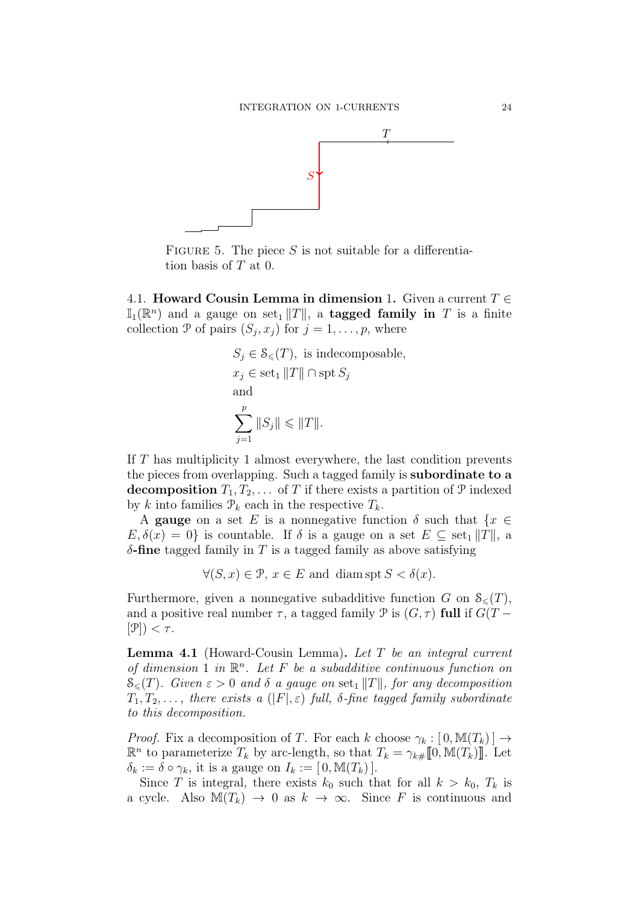

FIGURE 5. The piece  $S$  is not suitable for a differentiation basis of T at 0.

4.1. Howard Cousin Lemma in dimension 1. Given a current  $T \in$  $\mathbb{I}_1(\mathbb{R}^n)$  and a gauge on set  $\|T\|$ , a **tagged family in** T is a finite collection  $P$  of pairs  $(S_j, x_j)$  for  $j = 1, \ldots, p$ , where

$$
S_j \in \mathcal{S}_{\leq}(T), \text{ is indecomposable},
$$
  

$$
x_j \in \text{set}_1 ||T|| \cap \text{spt } S_j
$$
  
and  

$$
\sum_{j=1}^p ||S_j|| \leq ||T||.
$$

If T has multiplicity 1 almost everywhere, the last condition prevents the pieces from overlapping. Such a tagged family is subordinate to a decomposition  $T_1, T_2, \ldots$  of T if there exists a partition of P indexed by k into families  $\mathcal{P}_k$  each in the respective  $T_k$ .

A gauge on a set E is a nonnegative function  $\delta$  such that  $\{x \in$  $E, \delta(x) = 0$  is countable. If  $\delta$  is a gauge on a set  $E \subseteq$  set<sub>1</sub> ||T||, a  $\delta$ -fine tagged family in T is a tagged family as above satisfying

 $\forall (S, x) \in \mathcal{P}, x \in E \text{ and } \text{diam} \operatorname{spt} S < \delta(x).$ 

Furthermore, given a nonnegative subadditive function G on  $\mathcal{S}_{\leq}(T)$ . and a positive real number  $\tau$ , a tagged family  $\mathcal P$  is  $(G, \tau)$  full if  $G(T [\mathcal{P}]$ )  $< \tau$ .

**Lemma 4.1** (Howard-Cousin Lemma). Let  $T$  be an integral current of dimension 1 in  $\mathbb{R}^n$ . Let F be a subadditive continuous function on  $\mathcal{S}_{\leq}(T)$ . Given  $\varepsilon > 0$  and  $\delta$  a gauge on set<sub>1</sub> ||T||, for any decomposition  $T_1, T_2, \ldots$ , there exists a  $(|F|, \varepsilon)$  full,  $\delta$ -fine tagged family subordinate to this decomposition.

*Proof.* Fix a decomposition of T. For each k choose  $\gamma_k : [0, M(T_k)] \rightarrow$  $\mathbb{R}^n$  to parameterize  $T_k$  by arc-length, so that  $T_k = \gamma_{k\#} [0, \mathbb{M}(T_k)]$ . Let  $\delta_k := \delta \circ \gamma_k$ , it is a gauge on  $I_k := [0, \mathbb{M}(T_k)].$ 

Since T is integral, there exists  $k_0$  such that for all  $k > k_0$ ,  $T_k$  is a cycle. Also  $\mathbb{M}(T_k) \to 0$  as  $k \to \infty$ . Since F is continuous and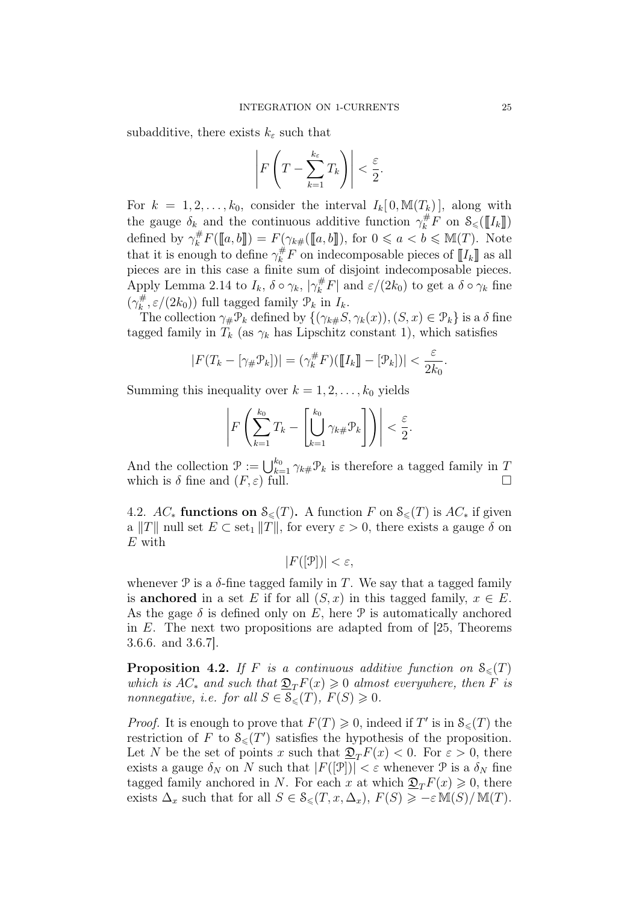subadditive, there exists  $k_{\varepsilon}$  such that

$$
\left| F\left(T - \sum_{k=1}^{k_{\varepsilon}} T_k\right) \right| < \frac{\varepsilon}{2}.
$$

For  $k = 1, 2, ..., k_0$ , consider the interval  $I_k[0, M(T_k)]$ , along with the gauge  $\delta_k$  and the continuous additive function  $\gamma_k^{\#}F$  on  $\mathcal{S}_{\leq}(\llbracket I_k \rrbracket)$ defined by  $\gamma_k^{\#} F(\llbracket a, b \rrbracket) = F(\gamma_{k\#}(\llbracket a, b \rrbracket)$ , for  $0 \leq a < b \leq M(T)$ . Note that it is enough to define  $\gamma_k^{\#}F$  on indecomposable pieces of  $\llbracket I_k \rrbracket$  as all pieces are in this case a finite sum of disjoint indecomposable pieces. Apply Lemma 2.14 to  $I_k$ ,  $\delta \circ \gamma_k$ ,  $|\gamma_k^{\#}F|$  and  $\varepsilon/(2k_0)$  to get a  $\delta \circ \gamma_k$  fine  $(\gamma_k^{\#})$  $\mathcal{L}_{k}^{\#}, \varepsilon/(2k_0)$  full tagged family  $\mathcal{P}_k$  in  $I_k$ .

The collection  $\gamma_{\#} \mathcal{P}_k$  defined by  $\{(\gamma_{k\#} S, \gamma_k(x)),(S, x) \in \mathcal{P}_k\}$  is a  $\delta$  fine tagged family in  $T_k$  (as  $\gamma_k$  has Lipschitz constant 1), which satisfies

$$
|F(T_k - [\gamma_{\#}\mathcal{P}_k])| = (\gamma_k^{\#} F)(\llbracket I_k \rrbracket - [\mathcal{P}_k])| < \frac{\varepsilon}{2k_0}.
$$

Summing this inequality over  $k = 1, 2, \ldots, k_0$  yields

$$
\left| F\left(\sum_{k=1}^{k_0} T_k - \left[\bigcup_{k=1}^{k_0} \gamma_{k\#} \mathcal{P}_k\right]\right) \right| < \frac{\varepsilon}{2}.
$$

And the collection  $\mathcal{P} := \bigcup_{k=1}^{k_0} \gamma_{k\#} \mathcal{P}_k$  is therefore a tagged family in T which is  $\delta$  fine and  $(F, \varepsilon)$  full.

4.2.  $AC_*$  functions on  $\mathcal{S}_{\leq}(T)$ . A function F on  $\mathcal{S}_{\leq}(T)$  is  $AC_*$  if given a ||T|| null set  $E \subset \text{set}_1 ||T||$ , for every  $\varepsilon > 0$ , there exists a gauge  $\delta$  on  $E$  with

$$
|F([\mathcal{P}])| < \varepsilon,
$$

whenever  $\mathcal P$  is a  $\delta$ -fine tagged family in T. We say that a tagged family is anchored in a set E if for all  $(S, x)$  in this tagged family,  $x \in E$ . As the gage  $\delta$  is defined only on E, here P is automatically anchored in  $E$ . The next two propositions are adapted from of [25, Theorems] 3.6.6. and 3.6.7].

**Proposition 4.2.** If F is a continuous additive function on  $S_{\leq}(T)$ which is  $AC_*$  and such that  $\mathfrak{D}_T F(x) \geq 0$  almost everywhere, then F is nonnegative, i.e. for all  $S \in \mathcal{S}_{\leq}(T)$ ,  $F(S) \geq 0$ .

*Proof.* It is enough to prove that  $F(T) \geq 0$ , indeed if T' is in  $\mathcal{S}_{\leq}(T)$  the restriction of F to  $\mathcal{S}_{\leq}(T')$  satisfies the hypothesis of the proposition. Let N be the set of points x such that  $\mathfrak{D}_T F(x) < 0$ . For  $\varepsilon > 0$ , there exists a gauge  $\delta_N$  on N such that  $|F([\mathcal{P}])| < \varepsilon$  whenever  $\mathcal P$  is a  $\delta_N$  fine tagged family anchored in N. For each x at which  $\mathfrak{D}_T F(x) \geq 0$ , there exists  $\Delta_x$  such that for all  $S \in \mathcal{S}_{\leq}(T, x, \Delta_x)$ ,  $F(S) \geq -\varepsilon M(S)/M(T)$ .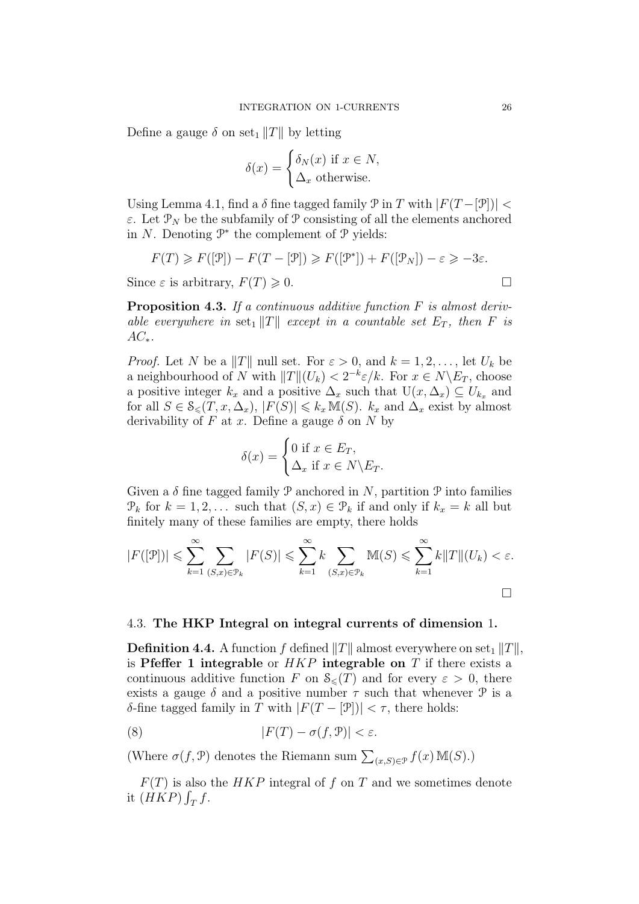Define a gauge  $\delta$  on set<sub>1</sub> ||T|| by letting

$$
\delta(x) = \begin{cases} \delta_N(x) & \text{if } x \in N, \\ \Delta_x & \text{otherwise.} \end{cases}
$$

Using Lemma 4.1, find a  $\delta$  fine tagged family  $\mathcal P$  in T with  $|F(T - [\mathcal P])|$  <  $\varepsilon$ . Let  $\mathcal{P}_N$  be the subfamily of  $\mathcal P$  consisting of all the elements anchored in  $N$ . Denoting  $\mathcal{P}^*$  the complement of  $\mathcal{P}$  yields:

$$
F(T) \geq F([\mathcal{P}]) - F(T - [\mathcal{P}]) \geq F([\mathcal{P}^*]) + F([\mathcal{P}_N]) - \varepsilon \geq -3\varepsilon.
$$

Since  $\varepsilon$  is arbitrary,  $F(T) \geq 0$ .

**Proposition 4.3.** If a continuous additive function  $F$  is almost derivable everywhere in set<sub>1</sub>  $||T||$  except in a countable set  $E_T$ , then F is  $AC_*$ .

*Proof.* Let N be a ||T|| null set. For  $\varepsilon > 0$ , and  $k = 1, 2, \ldots$ , let  $U_k$  be a neighbourhood of N with  $||T||(U_k) < 2^{-k}\varepsilon/k$ . For  $x \in N\backslash E_T$ , choose a positive integer  $k_x$  and a positive  $\Delta_x$  such that  $U(x, \Delta_x) \subseteq U_{k_x}$  and for all  $S \in \mathcal{S}_{\leq}(T, x, \Delta_x)$ ,  $|F(S)| \leq k_x M(S)$ .  $k_x$  and  $\Delta_x$  exist by almost derivability of F at x. Define a gauge  $\delta$  on N by

$$
\delta(x) = \begin{cases} 0 \text{ if } x \in E_T, \\ \Delta_x \text{ if } x \in N \backslash E_T. \end{cases}
$$

Given a  $\delta$  fine tagged family  $\mathcal P$  anchored in  $N$ , partition  $\mathcal P$  into families  $\mathcal{P}_k$  for  $k = 1, 2, \ldots$  such that  $(S, x) \in \mathcal{P}_k$  if and only if  $k_x = k$  all but finitely many of these families are empty, there holds

$$
|F([\mathcal{P}])| \leqslant \sum_{k=1}^{\infty} \sum_{(S,x)\in\mathcal{P}_k} |F(S)| \leqslant \sum_{k=1}^{\infty} k \sum_{(S,x)\in\mathcal{P}_k} \mathbb{M}(S) \leqslant \sum_{k=1}^{\infty} k \|T\| (U_k) < \varepsilon.
$$

### 4.3. The HKP Integral on integral currents of dimension 1.

**Definition 4.4.** A function f defined  $||T||$  almost everywhere on set<sub>1</sub>  $||T||$ , is Pfeffer 1 integrable or  $HKP$  integrable on T if there exists a continuous additive function F on  $\mathcal{S}_{\leq}(T)$  and for every  $\varepsilon > 0$ , there exists a gauge  $\delta$  and a positive number  $\tau$  such that whenever  $\mathcal P$  is a δ-fine tagged family in T with  $|F(T - \mathcal{P})| < \tau$ , there holds:

(8) 
$$
|F(T) - \sigma(f, \mathcal{P})| < \varepsilon.
$$

(Where  $\sigma(f, \mathcal{P})$  denotes the Riemann sum  $\sum_{(x,S)\in\mathcal{P}} f(x) \mathbb{M}(S)$ .)

 $F(T)$  is also the HKP integral of f on T and we sometimes denote it  $(HKP)\int_T f$ .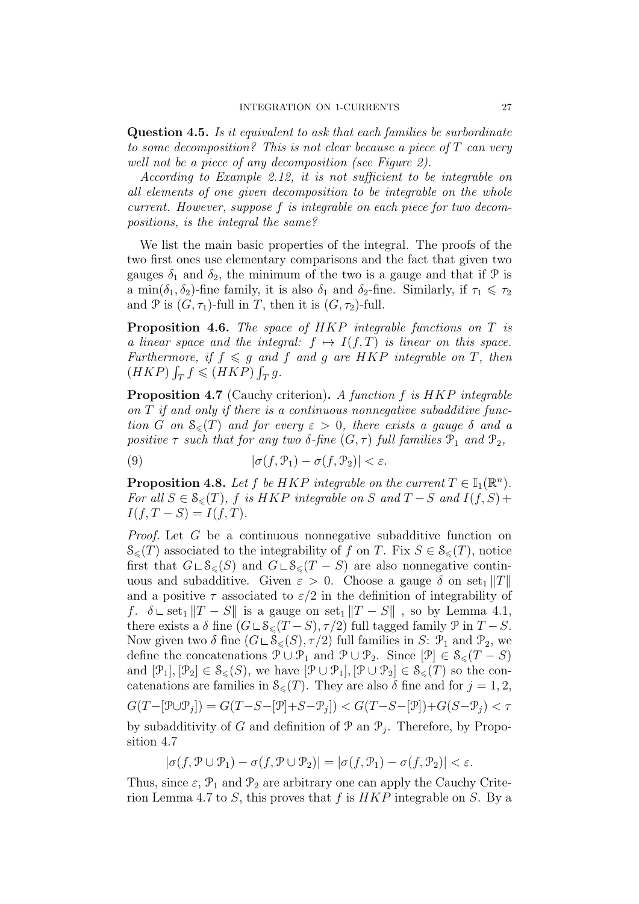Question 4.5. Is it equivalent to ask that each families be surbordinate to some decomposition? This is not clear because a piece of T can very well not be a piece of any decomposition (see Figure 2).

According to Example 2.12, it is not sufficient to be integrable on all elements of one given decomposition to be integrable on the whole current. However, suppose f is integrable on each piece for two decompositions, is the integral the same?

We list the main basic properties of the integral. The proofs of the two first ones use elementary comparisons and the fact that given two gauges  $\delta_1$  and  $\delta_2$ , the minimum of the two is a gauge and that if  $\mathcal P$  is a min( $\delta_1, \delta_2$ )-fine family, it is also  $\delta_1$  and  $\delta_2$ -fine. Similarly, if  $\tau_1 \leq \tau_2$ and P is  $(G, \tau_1)$ -full in T, then it is  $(G, \tau_2)$ -full.

Proposition 4.6. The space of HKP integrable functions on T is a linear space and the integral:  $f \mapsto I(f,T)$  is linear on this space. Furthermore, if  $f \leq g$  and f and g are HKP integrable on T, then  $(HKP)\int_T f \leqslant (HKP)\int_T g.$ 

Proposition 4.7 (Cauchy criterion). A function f is HKP integrable on T if and only if there is a continuous nonnegative subadditive function G on  $\mathcal{S}_{\leq}(T)$  and for every  $\varepsilon > 0$ , there exists a gauge  $\delta$  and a positive  $\tau$  such that for any two  $\delta$ -fine  $(G, \tau)$  full families  $\mathcal{P}_1$  and  $\mathcal{P}_2$ ,

(9) 
$$
|\sigma(f, \mathcal{P}_1) - \sigma(f, \mathcal{P}_2)| < \varepsilon.
$$

**Proposition 4.8.** Let f be HKP integrable on the current  $T \in \mathbb{I}_1(\mathbb{R}^n)$ . For all  $S \in \mathcal{S}_{\leq}(T)$ , f is HKP integrable on S and  $T-S$  and  $I(f, S)$  +  $I(f, T - S) = I(f, T).$ 

Proof. Let G be a continuous nonnegative subadditive function on  $\mathcal{S}_{\leq}(T)$  associated to the integrability of f on T. Fix  $S \in \mathcal{S}_{\leq}(T)$ , notice first that  $G \cup \mathcal{S}_{\leq}(S)$  and  $G \cup \mathcal{S}_{\leq}(T - S)$  are also nonnegative continuous and subadditive. Given  $\varepsilon > 0$ . Choose a gauge  $\delta$  on set<sub>1</sub> ||T|| and a positive  $\tau$  associated to  $\varepsilon/2$  in the definition of integrability of f.  $\delta \text{ }\subset \text{ set}_1 ||T - S||$  is a gauge on set<sub>1</sub>  $||T - S||$ , so by Lemma 4.1, there exists a  $\delta$  fine  $(G \sqcup \mathcal{S}_{\leq}(T - S), \tau/2)$  full tagged family  $\mathcal{P}$  in  $T - S$ . Now given two  $\delta$  fine  $(G \cup \mathcal{S}_{\leq}(S), \tau/2)$  full families in S:  $\mathcal{P}_1$  and  $\mathcal{P}_2$ , we define the concatenations  $\mathcal{P} \cup \mathcal{P}_1$  and  $\mathcal{P} \cup \mathcal{P}_2$ . Since  $[\mathcal{P}] \in \mathcal{S}_{\leq}(T-S)$ and  $[\mathcal{P}_1], [\mathcal{P}_2] \in \mathcal{S}_{\leqslant}(S)$ , we have  $[\mathcal{P} \cup \mathcal{P}_1], [\mathcal{P} \cup \mathcal{P}_2] \in \mathcal{S}_{\leqslant}(T)$  so the concatenations are families in  $\mathcal{S}_{\leq}(T)$ . They are also  $\delta$  fine and for  $j = 1, 2$ ,  $G(T - [\mathcal{P} \cup \mathcal{P}_j]) = G(T - S - [\mathcal{P}] + S - \mathcal{P}_j]) < G(T - S - [\mathcal{P}]) + G(S - \mathcal{P}_j) < \tau$ by subadditivity of G and definition of  $\mathcal{P}$  an  $\mathcal{P}_j$ . Therefore, by Proposition 4.7

$$
|\sigma(f, \mathcal{P} \cup \mathcal{P}_1) - \sigma(f, \mathcal{P} \cup \mathcal{P}_2)| = |\sigma(f, \mathcal{P}_1) - \sigma(f, \mathcal{P}_2)| < \varepsilon.
$$

Thus, since  $\varepsilon$ ,  $\mathcal{P}_1$  and  $\mathcal{P}_2$  are arbitrary one can apply the Cauchy Criterion Lemma 4.7 to S, this proves that f is  $HKP$  integrable on S. By a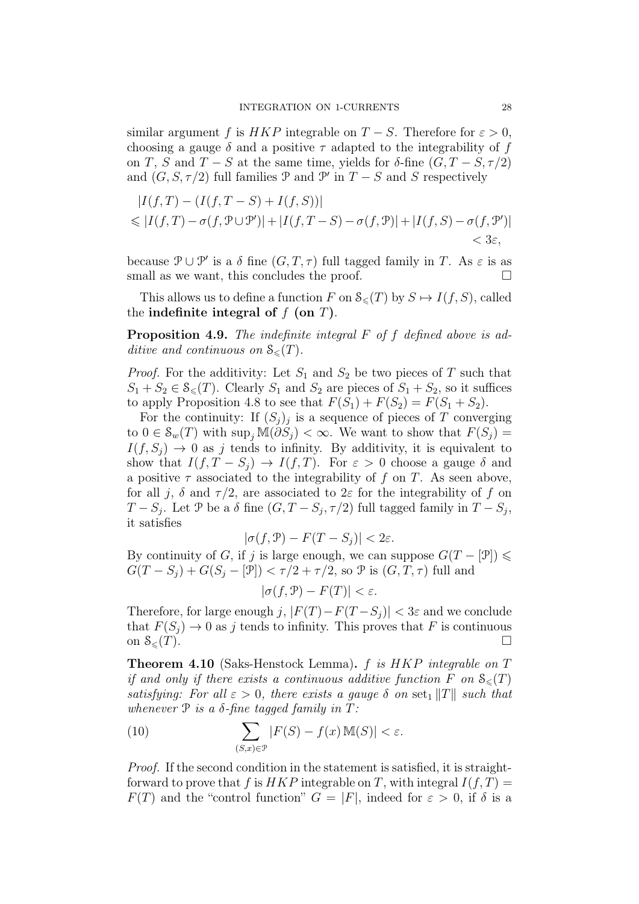similar argument f is HKP integrable on  $T-S$ . Therefore for  $\varepsilon > 0$ , choosing a gauge  $\delta$  and a positive  $\tau$  adapted to the integrability of f on T, S and  $T - S$  at the same time, yields for  $\delta$ -fine  $(G, T - S, \tau/2)$ and  $(G, S, \tau/2)$  full families  $\mathcal P$  and  $\mathcal P'$  in  $T - S$  and  $S$  respectively

$$
|I(f,T) - (I(f,T-S) + I(f,S))|
$$
  
\n
$$
\leq |I(f,T) - \sigma(f,\mathcal{P}\cup\mathcal{P}')| + |I(f,T-S) - \sigma(f,\mathcal{P})| + |I(f,S) - \sigma(f,\mathcal{P}')|
$$
  
\n
$$
< 3\varepsilon,
$$

because  $\mathcal{P} \cup \mathcal{P}'$  is a  $\delta$  fine  $(G, T, \tau)$  full tagged family in T. As  $\varepsilon$  is as small as we want, this concludes the proof.  $\Box$ 

This allows us to define a function F on  $\mathcal{S}_{\leq}(T)$  by  $S \mapsto I(f, S)$ , called the indefinite integral of  $f$  (on  $T$ ).

Proposition 4.9. The indefinite integral F of f defined above is additive and continuous on  $\mathcal{S}_{\leq}(T)$ .

*Proof.* For the additivity: Let  $S_1$  and  $S_2$  be two pieces of T such that  $S_1 + S_2 \in \mathcal{S}_{\leq}(T)$ . Clearly  $S_1$  and  $S_2$  are pieces of  $S_1 + S_2$ , so it suffices to apply Proposition 4.8 to see that  $F(S_1) + F(S_2) = F(S_1 + S_2)$ .

For the continuity: If  $(S_j)_j$  is a sequence of pieces of T converging to  $0 \in \mathcal{S}_w(T)$  with  $\sup_j \mathbb{M}(\partial \overline{S}_j) < \infty$ . We want to show that  $F(S_j) =$  $I(f, S_i) \rightarrow 0$  as j tends to infinity. By additivity, it is equivalent to show that  $I(f, T - S_i) \to I(f, T)$ . For  $\varepsilon > 0$  choose a gauge  $\delta$  and a positive  $\tau$  associated to the integrability of f on T. As seen above, for all j,  $\delta$  and  $\tau/2$ , are associated to  $2\varepsilon$  for the integrability of f on  $T - S_j$ . Let P be a  $\delta$  fine  $(G, T - S_j, \tau/2)$  full tagged family in  $T - S_j$ , it satisfies

$$
|\sigma(f,\mathcal{P}) - F(T - S_j)| < 2\varepsilon.
$$

By continuity of G, if j is large enough, we can suppose  $G(T - [\mathcal{P}]) \leq$  $G(T - S_j) + G(S_j - [\mathcal{P}]) < \tau/2 + \tau/2$ , so  $\mathcal P$  is  $(G, T, \tau)$  full and

 $|\sigma(f, \mathcal{P}) - F(T)| < \varepsilon.$ 

Therefore, for large enough j,  $|F(T) - F(T - S_i)| < 3\varepsilon$  and we conclude that  $F(S_j) \to 0$  as j tends to infinity. This proves that F is continuous on  $S_{\leq}(T)$ . on  $\mathcal{S}_{\leq}(T)$ .

Theorem 4.10 (Saks-Henstock Lemma). f is HKP integrable on T if and only if there exists a continuous additive function F on  $\mathcal{S}_{\leq}(T)$ satisfying: For all  $\varepsilon > 0$ , there exists a gauge  $\delta$  on set<sub>1</sub> ||T|| such that whenever  $P$  is a  $\delta$ -fine tagged family in T:

(10) 
$$
\sum_{(S,x)\in\mathcal{P}}|F(S)-f(x)\,\mathbb{M}(S)|<\varepsilon.
$$

Proof. If the second condition in the statement is satisfied, it is straightforward to prove that f is  $HKP$  integrable on T, with integral  $I(f, T) =$  $F(T)$  and the "control function"  $G = |F|$ , indeed for  $\varepsilon > 0$ , if  $\delta$  is a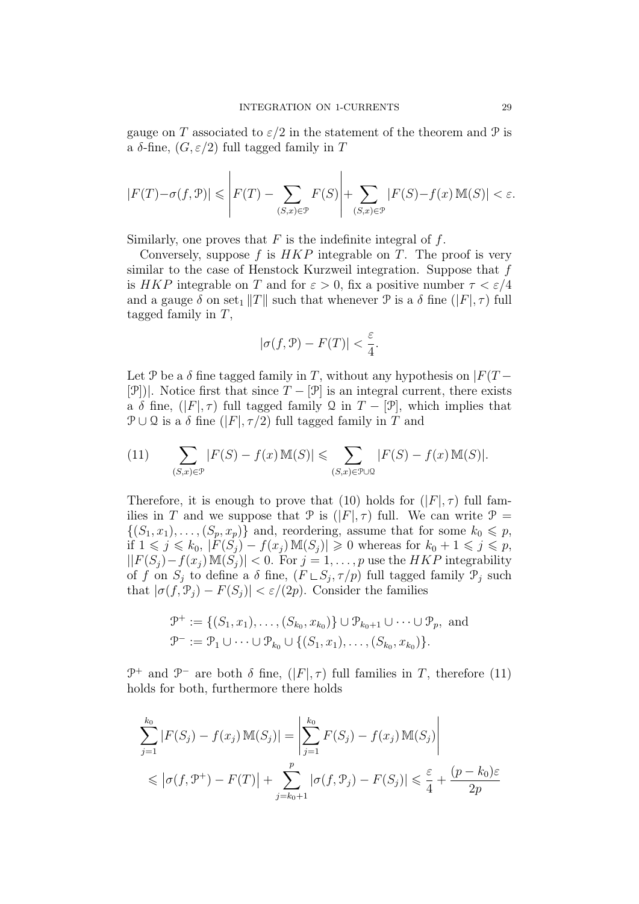gauge on T associated to  $\varepsilon/2$  in the statement of the theorem and P is a δ-fine,  $(G, \varepsilon/2)$  full tagged family in T

$$
|F(T) - \sigma(f, \mathcal{P})| \leqslant \left| F(T) - \sum_{(S, x) \in \mathcal{P}} F(S) \right| + \sum_{(S, x) \in \mathcal{P}} |F(S) - f(x) \mathbf{M}(S)| < \varepsilon.
$$

Similarly, one proves that  $F$  is the indefinite integral of  $f$ .

Conversely, suppose f is  $HKP$  integrable on T. The proof is very similar to the case of Henstock Kurzweil integration. Suppose that f is HKP integrable on T and for  $\varepsilon > 0$ , fix a positive number  $\tau < \varepsilon/4$ and a gauge  $\delta$  on set<sub>1</sub>  $||T||$  such that whenever  $\mathcal P$  is a  $\delta$  fine  $(|F|, \tau)$  full tagged family in  $T$ ,

$$
|\sigma(f,\mathcal{P}) - F(T)| < \frac{\varepsilon}{4}.
$$

Let P be a  $\delta$  fine tagged family in T, without any hypothesis on  $|F(T -$ [P])|. Notice first that since  $T - [\mathcal{P}]$  is an integral current, there exists a  $\delta$  fine,  $(|F|, \tau)$  full tagged family Q in  $T - [\mathcal{P}]$ , which implies that  $\mathcal{P} \cup \mathcal{Q}$  is a  $\delta$  fine  $(|F|, \tau/2)$  full tagged family in T and

(11) 
$$
\sum_{(S,x)\in\mathcal{P}}|F(S)-f(x)\mathbb{M}(S)|\leqslant \sum_{(S,x)\in\mathcal{P}\cup\mathcal{Q}}|F(S)-f(x)\mathbb{M}(S)|.
$$

Therefore, it is enough to prove that (10) holds for  $(|F|, \tau)$  full families in T and we suppose that  $\mathcal P$  is  $(|F|, \tau)$  full. We can write  $\mathcal P$  =  $\{(S_1, x_1), \ldots, (S_p, x_p)\}\$ and, reordering, assume that for some  $k_0 \leqslant p$ , if  $1 \leq j \leq k_0$ ,  $|F(S_j) - f(x_j) \mathbb{M}(S_j)| \geq 0$  whereas for  $k_0 + 1 \leq j \leq p$ ,  $||F(S_i) - f(x_i) M(S_i)|| < 0$ . For  $j = 1, \ldots, p$  use the HKP integrability of f on  $S_j$  to define a  $\delta$  fine,  $(F \cup S_j, \tau/p)$  full tagged family  $\mathcal{P}_j$  such that  $|\sigma(f, \mathcal{P}_j) - F(S_j)| < \varepsilon/(2p)$ . Consider the families

$$
\mathcal{P}^+ := \{ (S_1, x_1), \dots, (S_{k_0}, x_{k_0}) \} \cup \mathcal{P}_{k_0+1} \cup \dots \cup \mathcal{P}_p, \text{ and}
$$
  

$$
\mathcal{P}^- := \mathcal{P}_1 \cup \dots \cup \mathcal{P}_{k_0} \cup \{ (S_1, x_1), \dots, (S_{k_0}, x_{k_0}) \}.
$$

 $\mathcal{P}^+$  and  $\mathcal{P}^-$  are both  $\delta$  fine,  $(|F|, \tau)$  full families in T, therefore (11) holds for both, furthermore there holds

$$
\sum_{j=1}^{k_0} |F(S_j) - f(x_j) \mathbb{M}(S_j)| = \left| \sum_{j=1}^{k_0} F(S_j) - f(x_j) \mathbb{M}(S_j) \right|
$$
  
\$\leq |\sigma(f, \mathcal{P}^+) - F(T)| + \sum\_{j=k\_0+1}^{p} |\sigma(f, \mathcal{P}\_j) - F(S\_j)| \leq \frac{\varepsilon}{4} + \frac{(p - k\_0)\varepsilon}{2p}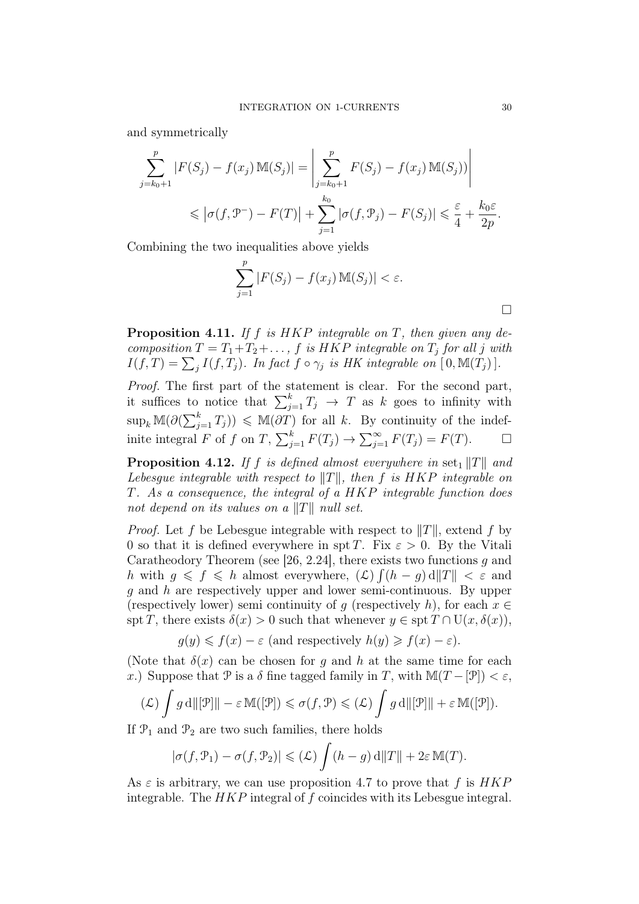and symmetrically

$$
\sum_{j=k_0+1}^{p} |F(S_j) - f(x_j) \mathbb{M}(S_j)| = \left| \sum_{j=k_0+1}^{p} F(S_j) - f(x_j) \mathbb{M}(S_j)) \right|
$$
  
\$\leqslant |\sigma(f, \mathcal{P}^-) - F(T)| + \sum\_{j=1}^{k\_0} |\sigma(f, \mathcal{P}\_j) - F(S\_j)| \leqslant \frac{\varepsilon}{4} + \frac{k\_0 \varepsilon}{2p}\$.

Combining the two inequalities above yields

$$
\sum_{j=1}^{p} |F(S_j) - f(x_j) \mathbb{M}(S_j)| < \varepsilon.
$$

**Proposition 4.11.** If f is  $HKP$  integrable on T, then given any decomposition  $T = T_1 + T_2 + \ldots$ , f is HKP integrable on  $T_j$  for all j with  $I(f,T) = \sum_j I(f,T_j)$ . In fact  $f \circ \gamma_j$  is HK integrable on  $[0, \mathbb{M}(T_j)]$ .

Proof. The first part of the statement is clear. For the second part, it suffices to notice that  $\sum_{j=1}^{k} T_j \rightarrow T$  as k goes to infinity with  $\sup_k \mathbb{M}(\partial(\sum_{j=1}^k T_j)) \leq \mathbb{M}(\partial T)$  for all k. By continuity of the indefinite integral F of f on T,  $\sum_{j=1}^{k} F(T_j) \rightarrow \sum_{j=1}^{\infty} F(T_j) = F(T)$ .  $\Box$ 

**Proposition 4.12.** If f is defined almost everywhere in set<sub>1</sub> ||T|| and Lebesgue integrable with respect to  $||T||$ , then f is HKP integrable on T. As a consequence, the integral of a HKP integrable function does not depend on its values on a  $||T||$  null set.

*Proof.* Let f be Lebesgue integrable with respect to  $||T||$ , extend f by 0 so that it is defined everywhere in spt T. Fix  $\varepsilon > 0$ . By the Vitali Caratheodory Theorem (see [26, 2.24], there exists two functions q and h with  $g \leqslant f \leqslant h$  almost everywhere,  $(\mathcal{L}) \int (h - g) d||T|| < \varepsilon$  and g and h are respectively upper and lower semi-continuous. By upper (respectively lower) semi continuity of g (respectively h), for each  $x \in$ spt T, there exists  $\delta(x) > 0$  such that whenever  $y \in \text{spt } T \cap U(x, \delta(x)),$ 

$$
g(y) \le f(x) - \varepsilon
$$
 (and respectively  $h(y) \ge f(x) - \varepsilon$ ).

(Note that  $\delta(x)$  can be chosen for q and h at the same time for each x.) Suppose that P is a  $\delta$  fine tagged family in T, with  $\mathbb{M}(T - \mathcal{P}) < \varepsilon$ ,

$$
(\mathcal{L}) \int g \, d\|[\mathcal{P}] \| - \varepsilon \, M([\mathcal{P}]) \leq \sigma(f, \mathcal{P}) \leq (\mathcal{L}) \int g \, d\|[\mathcal{P}] \| + \varepsilon \, M([\mathcal{P}]).
$$

If  $\mathcal{P}_1$  and  $\mathcal{P}_2$  are two such families, there holds

$$
|\sigma(f, \mathcal{P}_1) - \sigma(f, \mathcal{P}_2)| \leq (\mathcal{L}) \int (h - g) d||T|| + 2\varepsilon \mathbb{M}(T).
$$

As  $\varepsilon$  is arbitrary, we can use proposition 4.7 to prove that f is  $HKP$ integrable. The HKP integral of f coincides with its Lebesgue integral.

 $\Box$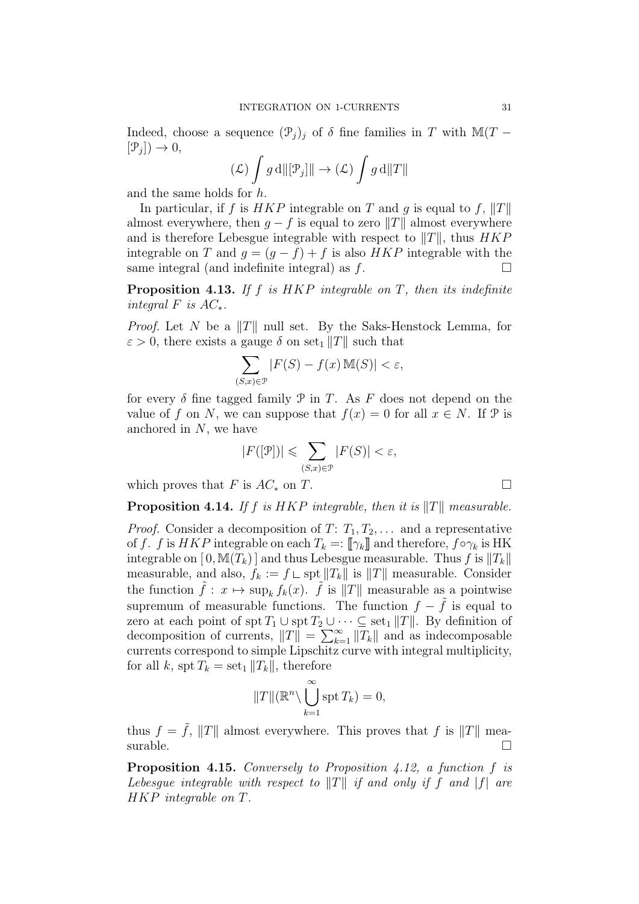Indeed, choose a sequence  $(\mathcal{P}_j)_j$  of  $\delta$  fine families in T with M(T –  $[\mathcal{P}_j] \rightarrow 0,$ 

$$
(\mathcal{L}) \int g \, d\|[\mathcal{P}_j] \| \to (\mathcal{L}) \int g \, d\|T\|
$$

and the same holds for h.

In particular, if f is  $HKP$  integrable on T and g is equal to f,  $||T||$ almost everywhere, then  $g - f$  is equal to zero  $||T||$  almost everywhere and is therefore Lebesgue integrable with respect to  $||T||$ , thus  $HKP$ integrable on T and  $g = (g - f) + f$  is also  $HKP$  integrable with the same integral (and indefinite integral) as f. same integral (and indefinite integral) as f.

**Proposition 4.13.** If f is  $HKP$  integrable on T, then its indefinite integral  $F$  is  $AC_*$ .

*Proof.* Let N be a  $||T||$  null set. By the Saks-Henstock Lemma, for  $\varepsilon > 0$ , there exists a gauge  $\delta$  on set<sub>1</sub> ||T|| such that

$$
\sum_{(S,x)\in\mathcal{P}}|F(S)-f(x)\,\mathbb{M}(S)|<\varepsilon,
$$

for every  $\delta$  fine tagged family  $\mathcal P$  in T. As F does not depend on the value of f on N, we can suppose that  $f(x) = 0$  for all  $x \in N$ . If  $\mathcal{P}$  is anchored in  $N$ , we have

$$
|F([\mathcal{P}])| \leqslant \sum_{(S,x)\in\mathcal{P}} |F(S)| < \varepsilon,
$$

which proves that F is  $AC_*$  on T.

**Proposition 4.14.** If f is HKP integrable, then it is  $||T||$  measurable.

*Proof.* Consider a decomposition of  $T: T_1, T_2, \ldots$  and a representative of f. f is HKP integrable on each  $T_k =: [\![\gamma_k]\!]$  and therefore,  $f \circ \gamma_k$  is HK integrable on  $[0, M(T_k)]$  and thus Lebesgue measurable. Thus f is  $||T_k||$ measurable, and also,  $f_k := f \cup \text{spt} ||T_k||$  is  $||T||$  measurable. Consider the function  $\tilde{f}: x \mapsto \sup_k f_k(x)$ .  $\tilde{f}$  is  $||T||$  measurable as a pointwise supremum of measurable functions. The function  $f - \tilde{f}$  is equal to zero at each point of  $\text{spt } T_1 \cup \text{spt } T_2 \cup \cdots \subseteq \text{set}_1 ||T||$ . By definition of decomposition of currents,  $||T|| = \sum_{k=1}^{\infty} ||T_k||$  and as indecomposable currents correspond to simple Lipschitz curve with integral multiplicity, for all k, spt  $T_k = \text{set}_1 ||T_k||$ , therefore

$$
||T||(\mathbb{R}^n \setminus \bigcup_{k=1}^{\infty} \operatorname{spt} T_k) = 0,
$$

thus  $f = \tilde{f}$ ,  $||T||$  almost everywhere. This proves that f is  $||T||$  measurable.  $\Box$ 

Proposition 4.15. Conversely to Proposition 4.12, a function f is Lebesque integrable with respect to  $||T||$  if and only if f and  $|f|$  are HKP integrable on T.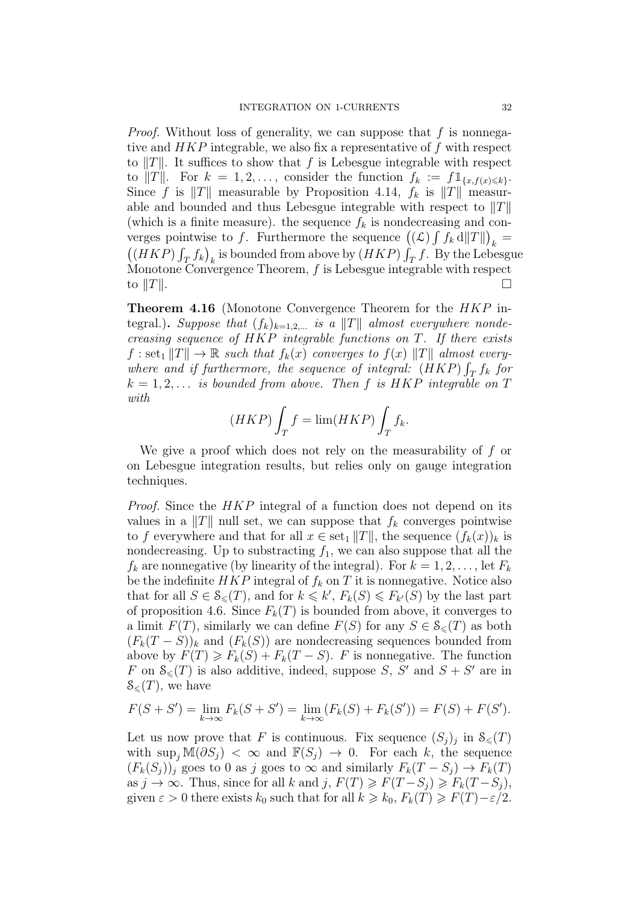*Proof.* Without loss of generality, we can suppose that  $f$  is nonnegative and HKP integrable, we also fix a representative of f with respect to  $||T||$ . It suffices to show that f is Lebesgue integrable with respect to  $||T||$ . For  $k = 1, 2, \ldots$ , consider the function  $f_k := f \mathbb{1}_{\{x, f(x) \leq k\}}$ . Since f is  $||T||$  measurable by Proposition 4.14,  $f_k$  is  $||T||$  measurable and bounded and thus Lebesgue integrable with respect to  $||T||$ (which is a finite measure). the sequence  $f_k$  is nondecreasing and converges pointwise to f. Furthermore the sequence  $((\mathcal{L}) \int f_k d||T||)_{k}$  $((HKP)\int_{T_a} f_k)_k$  is bounded from above by  $(HKP)\int_T f$ . By the Lebesgue Monotone Convergence Theorem,  $f$  is Lebesgue integrable with respect to  $||T||$ .

Theorem 4.16 (Monotone Convergence Theorem for the HKP integral.). Suppose that  $(f_k)_{k=1,2,...}$  is a  $||T||$  almost everywhere nondecreasing sequence of  $HKP$  integrable functions on  $T$ . If there exists  $f : set_1 ||T|| \to \mathbb{R}$  such that  $f_k(x)$  converges to  $f(x) ||T||$  almost everywhere and if furthermore, the sequence of integral:  $(HKP)\int_T f_k$  for  $k = 1, 2, \ldots$  is bounded from above. Then f is HKP integrable on T with

$$
(HKP)\int_T f = \lim(HKP)\int_T f_k.
$$

We give a proof which does not rely on the measurability of f or on Lebesgue integration results, but relies only on gauge integration techniques.

Proof. Since the HKP integral of a function does not depend on its values in a  $||T||$  null set, we can suppose that  $f_k$  converges pointwise to f everywhere and that for all  $x \in \text{set}_1 ||T||$ , the sequence  $(f_k(x))_k$  is nondecreasing. Up to substracting  $f_1$ , we can also suppose that all the  $f_k$  are nonnegative (by linearity of the integral). For  $k = 1, 2, \ldots$ , let  $F_k$ be the indefinite  $HKP$  integral of  $f_k$  on T it is nonnegative. Notice also that for all  $S \in \mathcal{S}_{\leq}(T)$ , and for  $k \leq k'$ ,  $F_k(S) \leq F_{k'}(S)$  by the last part of proposition 4.6. Since  $F_k(T)$  is bounded from above, it converges to a limit  $F(T)$ , similarly we can define  $F(S)$  for any  $S \in \mathcal{S}_{\leq}(T)$  as both  $(F_k(T - S))_k$  and  $(F_k(S))$  are nondecreasing sequences bounded from above by  $F(T) \geq F_k(S) + F_k(T - S)$ . F is nonnegative. The function F on  $\mathcal{S}_{\leq}(T)$  is also additive, indeed, suppose S, S' and  $S + S'$  are in  $\mathcal{S}_{\leq}(T)$ , we have

$$
F(S + S') = \lim_{k \to \infty} F_k(S + S') = \lim_{k \to \infty} (F_k(S) + F_k(S')) = F(S) + F(S').
$$

Let us now prove that F is continuous. Fix sequence  $(S_j)_j$  in  $\mathcal{S}_{\leqslant}(T)$ with  $\sup_j \mathbb{M}(\partial S_j) < \infty$  and  $\mathbb{F}(S_j) \to 0$ . For each k, the sequence  $(F_k(S_i))_i$  goes to 0 as j goes to  $\infty$  and similarly  $F_k(T-S_i) \to F_k(T)$ as  $j \to \infty$ . Thus, since for all k and  $j$ ,  $F(T) \geq F(T - S_j) \geq F_k(T - S_j)$ , given  $\varepsilon > 0$  there exists  $k_0$  such that for all  $k \geq k_0$ ,  $F_k(T) \geq F(T) - \varepsilon/2$ .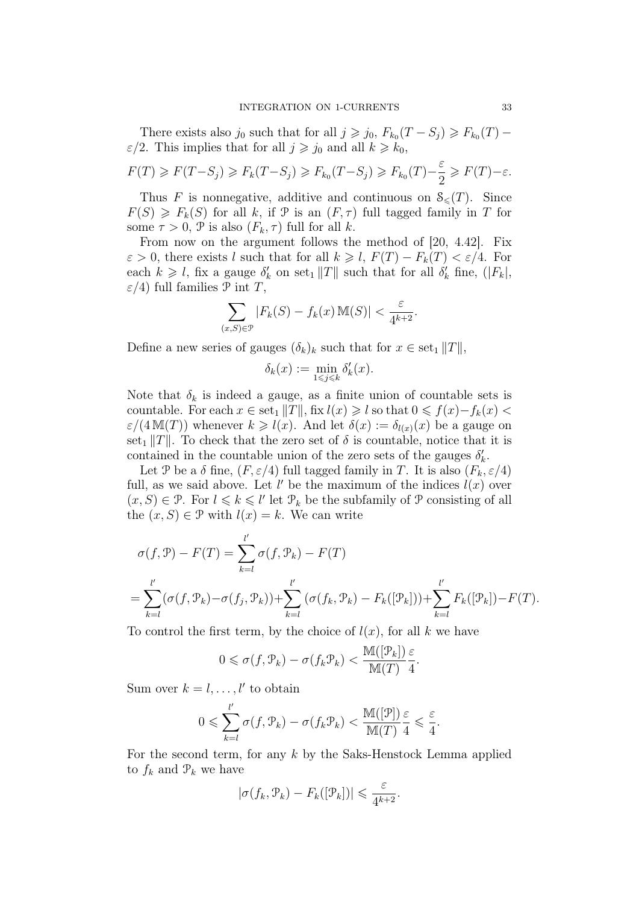There exists also  $j_0$  such that for all  $j \geq j_0$ ,  $F_{k_0}(T - S_j) \geq F_{k_0}(T) \varepsilon/2$ . This implies that for all  $j \geq j_0$  and all  $k \geq k_0$ ,

$$
F(T) \geqslant F(T - S_j) \geqslant F_k(T - S_j) \geqslant F_{k_0}(T - S_j) \geqslant F_{k_0}(T) - \frac{\varepsilon}{2} \geqslant F(T) - \varepsilon.
$$

Thus F is nonnegative, additive and continuous on  $\mathcal{S}_{\leq}(T)$ . Since  $F(S) \geq F_k(S)$  for all k, if  $\mathcal P$  is an  $(F, \tau)$  full tagged family in T for some  $\tau > 0$ ,  $\mathcal{P}$  is also  $(F_k, \tau)$  full for all k.

From now on the argument follows the method of [20, 4.42]. Fix  $\varepsilon > 0$ , there exists l such that for all  $k \geq l$ ,  $F(T) - F_k(T) < \varepsilon/4$ . For each  $k \geq l$ , fix a gauge  $\delta'_k$  on set<sub>1</sub> ||T|| such that for all  $\delta'_k$  fine, (|F<sub>k</sub>|,  $\varepsilon$ /4) full families  $\mathcal P$  int  $T$ ,

$$
\sum_{(x,S)\in\mathcal{P}}|F_k(S)-f_k(x)\,\mathbb{M}(S)|<\frac{\varepsilon}{4^{k+2}}.
$$

Define a new series of gauges  $(\delta_k)_k$  such that for  $x \in \text{set}_1 ||T||$ ,

$$
\delta_k(x) := \min_{1 \le j \le k} \delta'_k(x).
$$

Note that  $\delta_k$  is indeed a gauge, as a finite union of countable sets is countable. For each  $x \in \text{set}_1 ||T||$ , fix  $l(x) \geq l$  so that  $0 \leq f(x)-f_k(x)$  $\varepsilon/(4\mathbb{M}(T))$  whenever  $k \geq l(x)$ . And let  $\delta(x) := \delta_{l(x)}(x)$  be a gauge on set<sub>1</sub> ||T||. To check that the zero set of  $\delta$  is countable, notice that it is contained in the countable union of the zero sets of the gauges  $\delta'_k$ .

Let P be a  $\delta$  fine,  $(F, \varepsilon/4)$  full tagged family in T. It is also  $(F_k, \varepsilon/4)$ full, as we said above. Let  $l'$  be the maximum of the indices  $l(x)$  over  $(x, S) \in \mathcal{P}$ . For  $l \leq k \leq l'$  let  $\mathcal{P}_k$  be the subfamily of  $\mathcal P$  consisting of all the  $(x, S) \in \mathcal{P}$  with  $l(x) = k$ . We can write

$$
\sigma(f, \mathcal{P}) - F(T) = \sum_{k=1}^{l'} \sigma(f, \mathcal{P}_k) - F(T)
$$
  
= 
$$
\sum_{k=l}^{l'} (\sigma(f, \mathcal{P}_k) - \sigma(f_j, \mathcal{P}_k)) + \sum_{k=l}^{l'} (\sigma(f_k, \mathcal{P}_k) - F_k([\mathcal{P}_k])) + \sum_{k=l}^{l'} F_k([\mathcal{P}_k]) - F(T).
$$

To control the first term, by the choice of  $l(x)$ , for all k we have

$$
0\leqslant \sigma(f,\mathcal{P}_k)-\sigma(f_k\mathcal{P}_k)<\frac{\mathbb{M}([\mathcal{P}_k])}{\mathbb{M}(T)}\frac{\varepsilon}{4}.
$$

Sum over  $k = l, \ldots, l'$  to obtain

$$
0 \leqslant \sum_{k=l}^{l'} \sigma(f, \mathcal{P}_k) - \sigma(f_k \mathcal{P}_k) < \frac{\mathbb{M}([\mathcal{P}])}{\mathbb{M}(T)} \frac{\varepsilon}{4} \leqslant \frac{\varepsilon}{4}.
$$

For the second term, for any  $k$  by the Saks-Henstock Lemma applied to  $f_k$  and  $\mathcal{P}_k$  we have

$$
|\sigma(f_k, \mathcal{P}_k) - F_k([\mathcal{P}_k])| \leq \frac{\varepsilon}{4^{k+2}}.
$$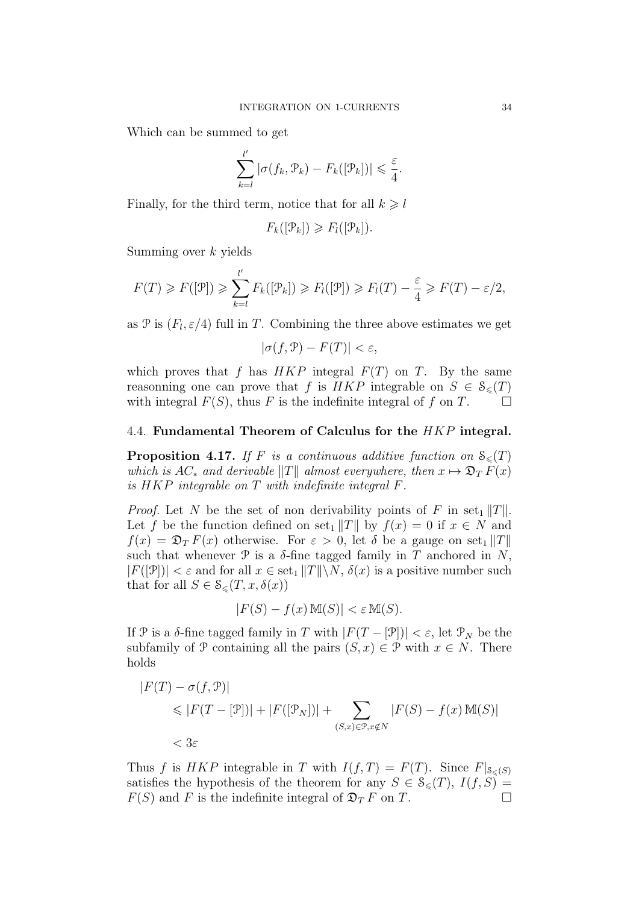Which can be summed to get

$$
\sum_{k=l}^{l'} |\sigma(f_k, \mathcal{P}_k) - F_k([\mathcal{P}_k])| \leq \frac{\varepsilon}{4}.
$$

Finally, for the third term, notice that for all  $k \geq l$ 

$$
F_k([\mathcal{P}_k]) \geqslant F_l([\mathcal{P}_k]).
$$

Summing over k yields

$$
F(T) \geqslant F([\mathcal{P}]) \geqslant \sum_{k=l}^{l'} F_k([\mathcal{P}_k]) \geqslant F_l([\mathcal{P}]) \geqslant F_l(T) - \frac{\varepsilon}{4} \geqslant F(T) - \varepsilon/2,
$$

as  $\mathcal{P}$  is  $(F_l, \varepsilon/4)$  full in T. Combining the three above estimates we get

$$
|\sigma(f,\mathcal{P}) - F(T)| < \varepsilon,
$$

which proves that f has  $HKP$  integral  $F(T)$  on T. By the same reasonning one can prove that f is HKP integrable on  $S \in \mathcal{S}_{\leq}(T)$ <br>with integral  $F(S)$  thus F is the indefinite integral of f on T with integral  $F(S)$ , thus F is the indefinite integral of f on T.

## 4.4. Fundamental Theorem of Calculus for the HKP integral.

**Proposition 4.17.** If F is a continuous additive function on  $\mathcal{S}_{\leq}(T)$ which is  $AC_*$  and derivable  $||T||$  almost everywhere, then  $x \mapsto \mathfrak{D}_T F(x)$ is HKP integrable on T with indefinite integral F.

*Proof.* Let N be the set of non derivability points of F in set<sub>1</sub> ||T||. Let f be the function defined on set<sub>1</sub>  $||T||$  by  $f(x) = 0$  if  $x \in N$  and  $f(x) = \mathfrak{D}_T F(x)$  otherwise. For  $\varepsilon > 0$ , let  $\delta$  be a gauge on set<sub>1</sub> ||T|| such that whenever  $\mathcal P$  is a  $\delta$ -fine tagged family in T anchored in N,  $|F([\mathcal{P}])| < \varepsilon$  and for all  $x \in \text{set}_1 ||T|| \setminus N$ ,  $\delta(x)$  is a positive number such that for all  $S \in \mathcal{S}_{\leq}(T, x, \delta(x))$ 

$$
|F(S) - f(x) \mathbb{M}(S)| < \varepsilon \mathbb{M}(S).
$$

If P is a  $\delta$ -fine tagged family in T with  $|F(T - \mathcal{P})| < \varepsilon$ , let  $\mathcal{P}_N$  be the subfamily of P containing all the pairs  $(S, x) \in \mathcal{P}$  with  $x \in N$ . There holds

$$
|F(T) - \sigma(f, \mathcal{P})|
$$
  
\$\leq |F(T - [\mathcal{P}])| + |F([\mathcal{P}\_N])| + \sum\_{(S,x) \in \mathcal{P}, x \notin N} |F(S) - f(x) \mathbb{M}(S)|\$  
\$\leq \delta \varepsilon\$

Thus f is HKP integrable in T with  $I(f,T) = F(T)$ . Since  $F|_{S<sub>0</sub>(S)}$ satisfies the hypothesis of the theorem for any  $S \in \mathcal{S}_{\leq}(T)$ ,  $I(f, S) = F(S)$  and F is the indefinite integral of  $\mathcal{D}_{\mathcal{F}} F$  on  $T$  $F(S)$  and F is the indefinite integral of  $\mathfrak{D}_T F$  on T.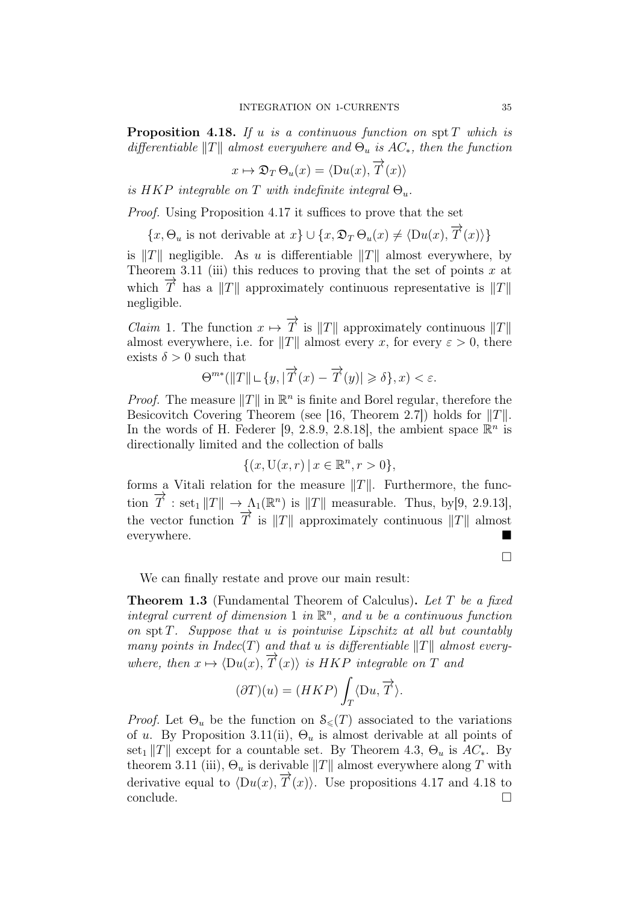**Proposition 4.18.** If u is a continuous function on spt  $T$  which is differentiable  $||T||$  almost everywhere and  $\Theta_u$  is  $AC_*,$  then the function

$$
x \mapsto \mathfrak{D}_T \Theta_u(x) = \langle \mathcal{D}u(x), \overrightarrow{T}(x) \rangle
$$

is HKP integrable on T with indefinite integral  $\Theta_u$ .

Proof. Using Proposition 4.17 it suffices to prove that the set

 $\{x, \Theta_u \text{ is not derivable at } x\} \cup \{x, \mathfrak{D}_T \Theta_u(x) \neq \langle Du(x), \overrightarrow{T}(x) \rangle\}$ 

is  $||T||$  negligible. As u is differentiable  $||T||$  almost everywhere, by Theorem 3.11 (iii) this reduces to proving that the set of points  $x$  at which  $\overline{T}$  has a  $||T||$  approximately continuous representative is  $||T||$ negligible.

*Claim* 1. The function  $x \mapsto \overrightarrow{T}$  is  $||T||$  approximately continuous  $||T||$ almost everywhere, i.e. for  $||T||$  almost every x, for every  $\varepsilon > 0$ , there exists  $\delta > 0$  such that

$$
\Theta^{m*}(\|T\|\sqcup\{y,|\overrightarrow{T}(x)-\overrightarrow{T}(y)|\geqslant\delta\},x)<\varepsilon.
$$

*Proof.* The measure  $||T||$  in  $\mathbb{R}^n$  is finite and Borel regular, therefore the Besicovitch Covering Theorem (see [16, Theorem 2.7]) holds for  $||T||$ . In the words of H. Federer [9, 2.8.9, 2.8.18], the ambient space  $\mathbb{R}^n$  is directionally limited and the collection of balls

$$
\{(x,\mathcal{U}(x,r)\,|\,x\in\mathbb{R}^n,r>0\},\
$$

forms a Vitali relation for the measure  $||T||$ . Furthermore, the function  $\overrightarrow{T}$  : set<sub>1</sub>  $||T|| \to \Lambda_1(\mathbb{R}^n)$  is  $||T||$  measurable. Thus, by [9, 2.9.13], the vector function  $\overrightarrow{T}$  is  $||T||$  approximately continuous  $||T||$  almost everywhere.

 $\Box$ 

We can finally restate and prove our main result:

**Theorem 1.3** (Fundamental Theorem of Calculus). Let T be a fixed integral current of dimension 1 in  $\mathbb{R}^n$ , and u be a continuous function on spt  $T$ . Suppose that u is pointwise Lipschitz at all but countably many points in Indec(T) and that u is differentiable  $||T||$  almost everywhere, then  $x \mapsto \langle Du(x), \overrightarrow{T}(x) \rangle$  is HKP integrable on T and

$$
(\partial T)(u) = (HKP) \int_T \langle Du, \overrightarrow{T} \rangle.
$$

*Proof.* Let  $\Theta_u$  be the function on  $\mathcal{S}_{\leq}\left(T\right)$  associated to the variations of u. By Proposition 3.11(ii),  $\Theta_u$  is almost derivable at all points of set<sub>1</sub>  $||T||$  except for a countable set. By Theorem 4.3,  $\Theta_u$  is  $AC_*$ . By theorem 3.11 (iii),  $\Theta_u$  is derivable  $||T||$  almost everywhere along T with derivative equal to  $\langle Du(x), \overrightarrow{T}(x) \rangle$ . Use propositions 4.17 and 4.18 to  $\Box$ conclude.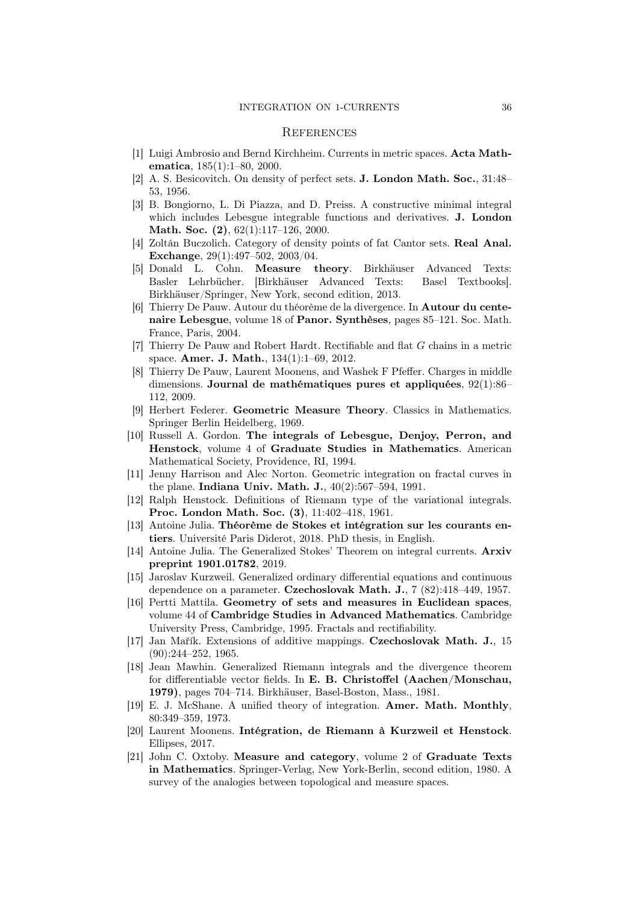#### **REFERENCES**

- [1] Luigi Ambrosio and Bernd Kirchheim. Currents in metric spaces. Acta Mathematica, 185(1):1–80, 2000.
- [2] A. S. Besicovitch. On density of perfect sets. J. London Math. Soc., 31:48– 53, 1956.
- [3] B. Bongiorno, L. Di Piazza, and D. Preiss. A constructive minimal integral which includes Lebesgue integrable functions and derivatives. J. London Math. Soc. (2), 62(1):117-126, 2000.
- [4] Zoltán Buczolich. Category of density points of fat Cantor sets. Real Anal. Exchange, 29(1):497–502, 2003/04.
- [5] Donald L. Cohn. Measure theory. Birkhäuser Advanced Texts: Basler Lehrbücher. [Birkhäuser Advanced Texts: Basel Textbooks]. Birkhäuser/Springer, New York, second edition, 2013.
- [6] Thierry De Pauw. Autour du théorème de la divergence. In Autour du centenaire Lebesgue, volume 18 of Panor. Synthèses, pages 85–121. Soc. Math. France, Paris, 2004.
- [7] Thierry De Pauw and Robert Hardt. Rectifiable and flat G chains in a metric space. Amer. J. Math., 134(1):1–69, 2012.
- [8] Thierry De Pauw, Laurent Moonens, and Washek F Pfeffer. Charges in middle dimensions. Journal de mathématiques pures et appliquées, 92(1):86– 112, 2009.
- [9] Herbert Federer. Geometric Measure Theory. Classics in Mathematics. Springer Berlin Heidelberg, 1969.
- [10] Russell A. Gordon. The integrals of Lebesgue, Denjoy, Perron, and Henstock, volume 4 of Graduate Studies in Mathematics. American Mathematical Society, Providence, RI, 1994.
- [11] Jenny Harrison and Alec Norton. Geometric integration on fractal curves in the plane. Indiana Univ. Math. J., 40(2):567–594, 1991.
- [12] Ralph Henstock. Definitions of Riemann type of the variational integrals. Proc. London Math. Soc. (3), 11:402–418, 1961.
- [13] Antoine Julia. Théorème de Stokes et intégration sur les courants entiers. Université Paris Diderot, 2018. PhD thesis, in English.
- [14] Antoine Julia. The Generalized Stokes' Theorem on integral currents. Arxiv preprint 1901.01782, 2019.
- [15] Jaroslav Kurzweil. Generalized ordinary differential equations and continuous dependence on a parameter. Czechoslovak Math. J., 7 (82):418–449, 1957.
- [16] Pertti Mattila. Geometry of sets and measures in Euclidean spaces, volume 44 of Cambridge Studies in Advanced Mathematics. Cambridge University Press, Cambridge, 1995. Fractals and rectifiability.
- [17] Jan Mařík. Extensions of additive mappings. Czechoslovak Math. J., 15 (90):244–252, 1965.
- [18] Jean Mawhin. Generalized Riemann integrals and the divergence theorem for differentiable vector fields. In E. B. Christoffel (Aachen/Monschau, 1979), pages 704–714. Birkhäuser, Basel-Boston, Mass., 1981.
- [19] E. J. McShane. A unified theory of integration. Amer. Math. Monthly, 80:349–359, 1973.
- [20] Laurent Moonens. Intégration, de Riemann à Kurzweil et Henstock. Ellipses, 2017.
- [21] John C. Oxtoby. Measure and category, volume 2 of Graduate Texts in Mathematics. Springer-Verlag, New York-Berlin, second edition, 1980. A survey of the analogies between topological and measure spaces.